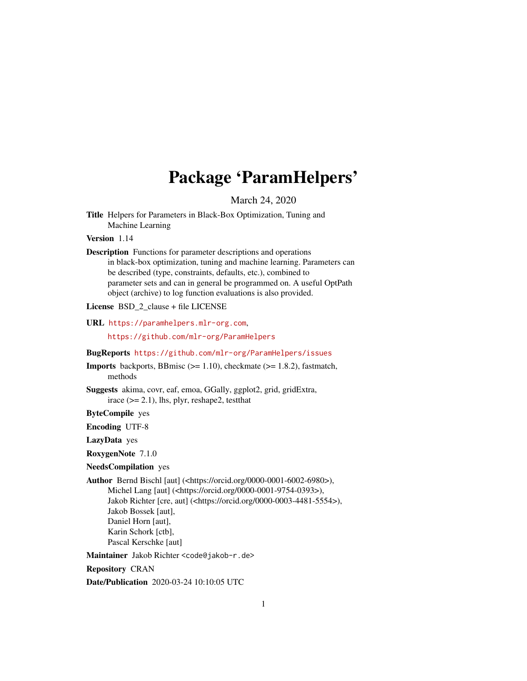# Package 'ParamHelpers'

March 24, 2020

<span id="page-0-0"></span>Title Helpers for Parameters in Black-Box Optimization, Tuning and Machine Learning

Version 1.14

Description Functions for parameter descriptions and operations in black-box optimization, tuning and machine learning. Parameters can be described (type, constraints, defaults, etc.), combined to parameter sets and can in general be programmed on. A useful OptPath object (archive) to log function evaluations is also provided.

License BSD\_2\_clause + file LICENSE

URL <https://paramhelpers.mlr-org.com>,

<https://github.com/mlr-org/ParamHelpers>

BugReports <https://github.com/mlr-org/ParamHelpers/issues>

**Imports** backports, BBmisc  $(>= 1.10)$ , checkmate  $(>= 1.8.2)$ , fastmatch, methods

Suggests akima, covr, eaf, emoa, GGally, ggplot2, grid, gridExtra, irace  $(>= 2.1)$ , lhs, plyr, reshape2, test that

ByteCompile yes

Encoding UTF-8

LazyData yes

RoxygenNote 7.1.0

NeedsCompilation yes

Author Bernd Bischl [aut] (<https://orcid.org/0000-0001-6002-6980>), Michel Lang [aut] (<https://orcid.org/0000-0001-9754-0393>), Jakob Richter [cre, aut] (<https://orcid.org/0000-0003-4481-5554>), Jakob Bossek [aut], Daniel Horn [aut], Karin Schork [ctb],

Pascal Kerschke [aut]

Maintainer Jakob Richter <code@jakob-r.de>

Repository CRAN

Date/Publication 2020-03-24 10:10:05 UTC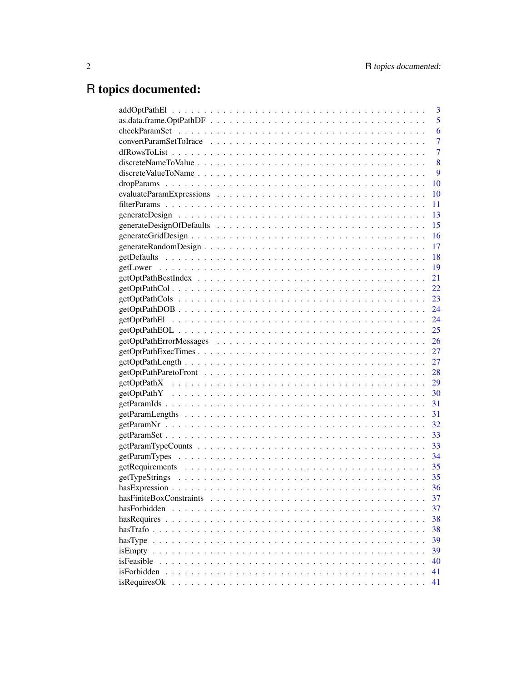# R topics documented:

|              | 3              |
|--------------|----------------|
|              | 5              |
|              | 6              |
|              | $\overline{7}$ |
|              | $\overline{7}$ |
|              | 8              |
|              | 9              |
|              | <b>10</b>      |
|              | <b>10</b>      |
|              | 11             |
|              | 13             |
|              | 15             |
|              | <b>16</b>      |
|              | -17            |
|              | <sup>18</sup>  |
|              |                |
|              | 21             |
|              |                |
|              |                |
|              |                |
|              |                |
|              |                |
|              |                |
|              |                |
|              |                |
|              |                |
|              |                |
|              |                |
|              |                |
|              |                |
|              |                |
|              |                |
|              |                |
|              |                |
|              |                |
|              |                |
|              |                |
|              | 37             |
| hasForbidden | 37             |
|              | 38             |
|              | 38             |
|              | 39             |
|              | 39             |
| isFeasible   | 40             |
|              | 41             |
|              | 41             |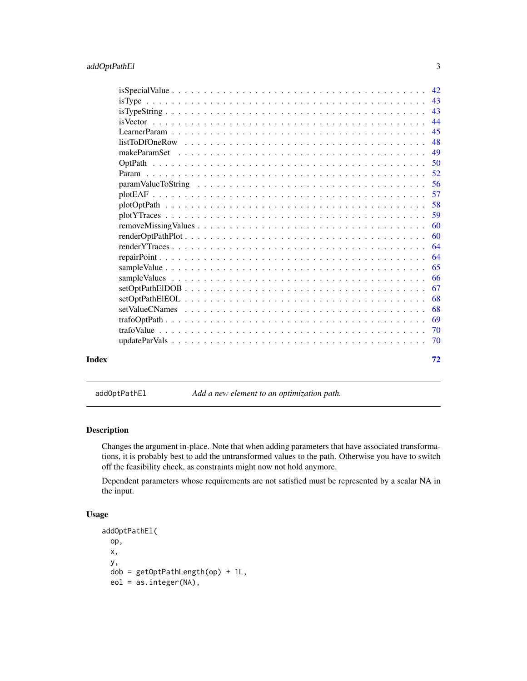<span id="page-2-0"></span>

|       |                                                                                                            | 42 |
|-------|------------------------------------------------------------------------------------------------------------|----|
|       |                                                                                                            | 43 |
|       |                                                                                                            | 43 |
|       |                                                                                                            | 44 |
|       |                                                                                                            | 45 |
|       | $listToDfOneRow \dots \dots \dots \dots \dots \dots \dots \dots \dots \dots \dots \dots \dots \dots \dots$ | 48 |
|       |                                                                                                            | 49 |
|       |                                                                                                            | 50 |
|       |                                                                                                            | 52 |
|       |                                                                                                            | 56 |
|       |                                                                                                            | 57 |
|       |                                                                                                            | 58 |
|       |                                                                                                            | 59 |
|       |                                                                                                            | 60 |
|       |                                                                                                            | 60 |
|       |                                                                                                            | 64 |
|       |                                                                                                            | 64 |
|       |                                                                                                            | 65 |
|       |                                                                                                            | 66 |
|       |                                                                                                            | 67 |
|       |                                                                                                            | 68 |
|       |                                                                                                            | 68 |
|       |                                                                                                            | 69 |
|       |                                                                                                            | 70 |
|       |                                                                                                            | 70 |
| Index |                                                                                                            | 72 |

<span id="page-2-1"></span>addOptPathEl *Add a new element to an optimization path.*

# Description

Changes the argument in-place. Note that when adding parameters that have associated transformations, it is probably best to add the untransformed values to the path. Otherwise you have to switch off the feasibility check, as constraints might now not hold anymore.

Dependent parameters whose requirements are not satisfied must be represented by a scalar NA in the input.

# Usage

```
addOptPathEl(
 op,
  x,
 y,
 dob = getOptPathLength(op) + 1L,
 eol = as.integer(NA),
```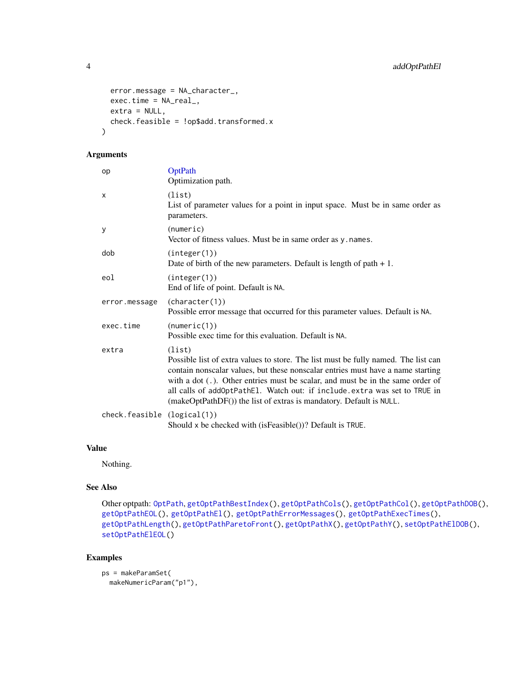```
error.message = NA_character_,
 exec.time = NA_real_,
 extra = NULL,check.feasible = !op$add.transformed.x
)
```

| op                          | OptPath<br>Optimization path.                                                                                                                                                                                                                                                                                                                                                                                         |
|-----------------------------|-----------------------------------------------------------------------------------------------------------------------------------------------------------------------------------------------------------------------------------------------------------------------------------------------------------------------------------------------------------------------------------------------------------------------|
| X                           | (list)<br>List of parameter values for a point in input space. Must be in same order as<br>parameters.                                                                                                                                                                                                                                                                                                                |
| У                           | (numeric)<br>Vector of fitness values. Must be in same order as y. names.                                                                                                                                                                                                                                                                                                                                             |
| dob                         | (integer(1))<br>Date of birth of the new parameters. Default is length of path $+1$ .                                                                                                                                                                                                                                                                                                                                 |
| eol                         | (integer(1))<br>End of life of point. Default is NA.                                                                                                                                                                                                                                                                                                                                                                  |
| error.message               | (character(1))<br>Possible error message that occurred for this parameter values. Default is NA.                                                                                                                                                                                                                                                                                                                      |
| exec.time                   | (numeric(1))<br>Possible exec time for this evaluation. Default is NA.                                                                                                                                                                                                                                                                                                                                                |
| extra                       | (list)<br>Possible list of extra values to store. The list must be fully named. The list can<br>contain nonscalar values, but these nonscalar entries must have a name starting<br>with a dot (.). Other entries must be scalar, and must be in the same order of<br>all calls of addOptPathEl. Watch out: if include.extra was set to TRUE in<br>(makeOptPathDF()) the list of extras is mandatory. Default is NULL. |
| check.feasible (logical(1)) | Should x be checked with (isFeasible())? Default is TRUE.                                                                                                                                                                                                                                                                                                                                                             |

# Value

Nothing.

# See Also

```
Other optpath: OptPath, getOptPathBestIndex(), getOptPathCols(), getOptPathCol(), getOptPathDOB(),
getOptPathEOL(), getOptPathEl(), getOptPathErrorMessages(), getOptPathExecTimes(),
getOptPathLength(), getOptPathParetoFront(), getOptPathX(), getOptPathY(), setOptPathElDOB(),
setOptPathElEOL()
```
# Examples

```
ps = makeParamSet(
 makeNumericParam("p1"),
```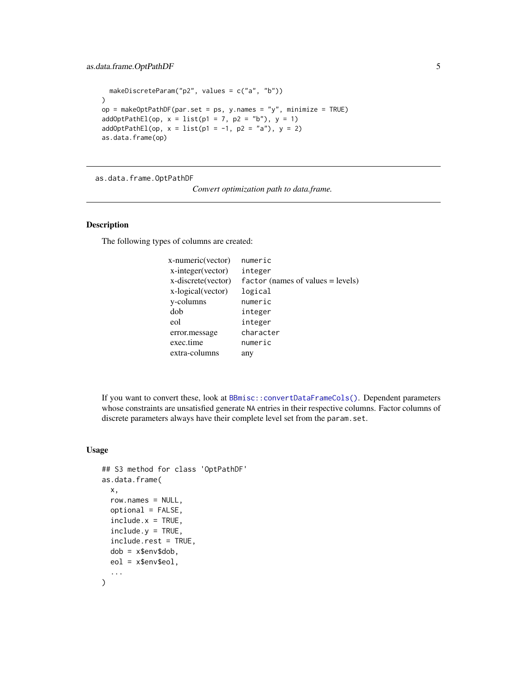```
makeDiscreteParam("p2", values = c("a", "b"))
\mathcal{L}op = makeOptPathDF(par.set = ps, y.names = "y", minimize = TRUE)
addOptPathEl(op, x = list(p1 = 7, p2 = "b"), y = 1)addOptPathEl(op, x = list(p1 = -1, p2 = "a"), y = 2)as.data.frame(op)
```
as.data.frame.OptPathDF

*Convert optimization path to data.frame.*

#### Description

The following types of columns are created:

| numeric                             |
|-------------------------------------|
| integer                             |
| $factor$ (names of values = levels) |
| logical                             |
| numeric                             |
| integer                             |
| integer                             |
| character                           |
| numeric                             |
| any                                 |
|                                     |

If you want to convert these, look at [BBmisc::convertDataFrameCols\(\)](#page-0-0). Dependent parameters whose constraints are unsatisfied generate NA entries in their respective columns. Factor columns of discrete parameters always have their complete level set from the param.set.

#### Usage

```
## S3 method for class 'OptPathDF'
as.data.frame(
 x,
  row.names = NULL,optional = FALSE,
  include.x = TRUE,include.y = TRUE,include.rest = TRUE,
  dob = x$env$dob,
 eol = x$env$eol,
  ...
)
```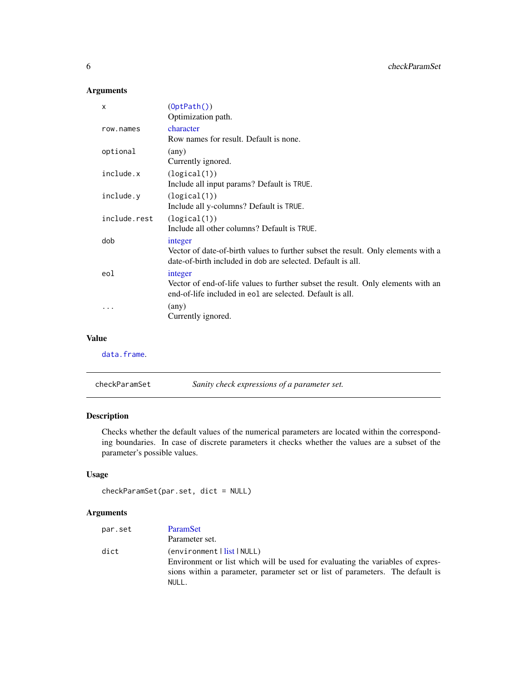| X            | (0ptPath())                                                                                                                                      |
|--------------|--------------------------------------------------------------------------------------------------------------------------------------------------|
|              | Optimization path.                                                                                                                               |
| row.names    | character                                                                                                                                        |
|              | Row names for result. Default is none.                                                                                                           |
| optional     | $(\text{any})$                                                                                                                                   |
|              | Currently ignored.                                                                                                                               |
| include.x    | (logical(1))                                                                                                                                     |
|              | Include all input params? Default is TRUE.                                                                                                       |
| include.y    | (logical(1))                                                                                                                                     |
|              | Include all y-columns? Default is TRUE.                                                                                                          |
| include.rest | (logical(1))                                                                                                                                     |
|              | Include all other columns? Default is TRUE.                                                                                                      |
| dob          | integer                                                                                                                                          |
|              | Vector of date-of-birth values to further subset the result. Only elements with a<br>date-of-birth included in dob are selected. Default is all. |
| eol          | integer                                                                                                                                          |
|              | Vector of end-of-life values to further subset the result. Only elements with an<br>end-of-life included in eol are selected. Default is all.    |
|              | $(\text{any})$                                                                                                                                   |
|              | Currently ignored.                                                                                                                               |
|              |                                                                                                                                                  |

#### Value

[data.frame](#page-0-0).

| checkParamSet | Sanity check expressions of a parameter set. |
|---------------|----------------------------------------------|
|---------------|----------------------------------------------|

# Description

Checks whether the default values of the numerical parameters are located within the corresponding boundaries. In case of discrete parameters it checks whether the values are a subset of the parameter's possible values.

# Usage

```
checkParamSet(par.set, dict = NULL)
```
# Arguments

| par.set | ParamSet                                                                       |
|---------|--------------------------------------------------------------------------------|
|         | Parameter set.                                                                 |
| dict    | (environment   list   NULL)                                                    |
|         | Environment or list which will be used for evaluating the variables of expres- |
|         | sions within a parameter, parameter set or list of parameters. The default is  |
|         | NULL.                                                                          |

<span id="page-5-0"></span>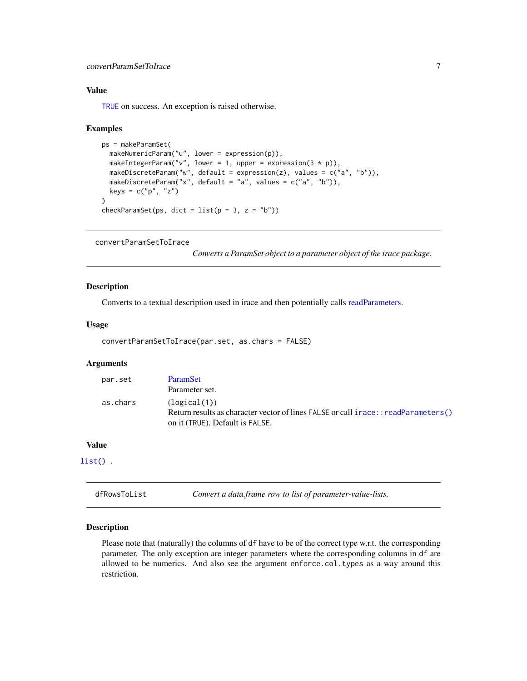# <span id="page-6-0"></span>convertParamSetToIrace 7

# Value

[TRUE](#page-0-0) on success. An exception is raised otherwise.

#### Examples

```
ps = makeParamSet(
  makeNumericParam("u", lower = expression(p)),
  makeIntegerParam("v", lower = 1, upper = expression(3 * p)),
  makeDiscreteParam("w", default = expression(z), values = c("a", "b")),
  makeDiscreteParam("x", default = "a", values = c("a", "b")),
  keys = c("p", "z")
)
checkParamSet(ps, dict = list(p = 3, z = "b"))
```
convertParamSetToIrace

*Converts a ParamSet object to a parameter object of the irace package.*

#### Description

Converts to a textual description used in irace and then potentially calls [readParameters.](#page-0-0)

## Usage

```
convertParamSetToIrace(par.set, as.chars = FALSE)
```
# Arguments

| par.set  | ParamSet                                                                            |
|----------|-------------------------------------------------------------------------------------|
|          | Parameter set.                                                                      |
| as.chars | (logical(1))                                                                        |
|          | Return results as character vector of lines FALSE or call i race:: readParameters() |
|          | on it (TRUE). Default is FALSE.                                                     |

# Value

[list\(\)](#page-0-0) .

dfRowsToList *Convert a data.frame row to list of parameter-value-lists.*

# Description

Please note that (naturally) the columns of df have to be of the correct type w.r.t. the corresponding parameter. The only exception are integer parameters where the corresponding columns in df are allowed to be numerics. And also see the argument enforce.col.types as a way around this restriction.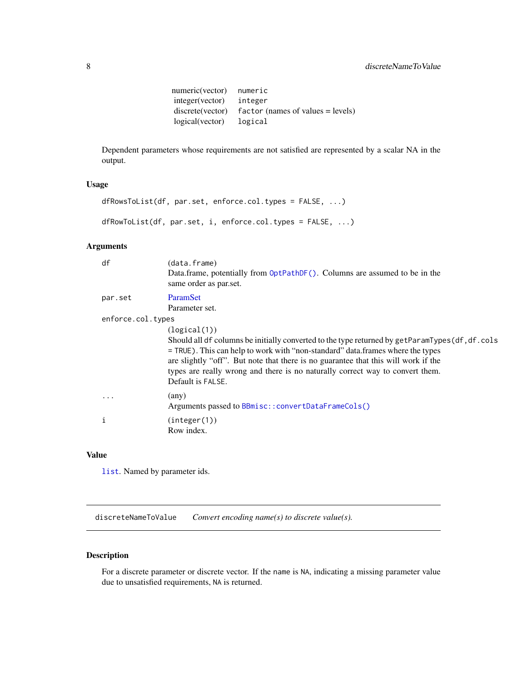```
numeric(vector) numeric<br>integer(vector) integer
integer(vector)
discrete(vector) factor (names of values = levels)
logical(vector) logical
```
<span id="page-7-0"></span>Dependent parameters whose requirements are not satisfied are represented by a scalar NA in the output.

# Usage

```
dfRowsToList(df, par.set, enforce.col.types = FALSE, ...)
dfRowToList(df, par.set, i, enforce.col.types = FALSE, ...)
```
# Arguments

| df                | (data.frame)<br>Data.frame, potentially from OptPathDF(). Columns are assumed to be in the<br>same order as par.set.                                                                                                                                                                                                                                                                          |
|-------------------|-----------------------------------------------------------------------------------------------------------------------------------------------------------------------------------------------------------------------------------------------------------------------------------------------------------------------------------------------------------------------------------------------|
| par.set           | <b>ParamSet</b><br>Parameter set.                                                                                                                                                                                                                                                                                                                                                             |
| enforce.col.types |                                                                                                                                                                                                                                                                                                                                                                                               |
|                   | (logical(1))<br>Should all df columns be initially converted to the type returned by getParamTypes(df, df. cols<br>= TRUE). This can help to work with "non-standard" data.frames where the types<br>are slightly "off". But note that there is no guarantee that this will work if the<br>types are really wrong and there is no naturally correct way to convert them.<br>Default is FALSE. |
| $\ddotsc$         | (any)<br>Arguments passed to BBmisc::convertDataFrameCols()                                                                                                                                                                                                                                                                                                                                   |
| i                 | (integer(1))<br>Row index.                                                                                                                                                                                                                                                                                                                                                                    |
|                   |                                                                                                                                                                                                                                                                                                                                                                                               |

# Value

[list](#page-0-0). Named by parameter ids.

discreteNameToValue *Convert encoding name(s) to discrete value(s).*

# Description

For a discrete parameter or discrete vector. If the name is NA, indicating a missing parameter value due to unsatisfied requirements, NA is returned.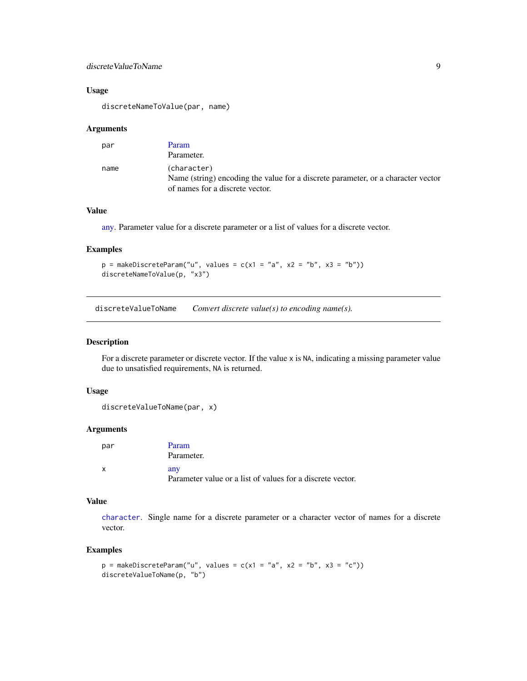# <span id="page-8-0"></span>discreteValueToName 9

# Usage

discreteNameToValue(par, name)

#### Arguments

| par  | Param                                                                                                                              |
|------|------------------------------------------------------------------------------------------------------------------------------------|
|      | Parameter.                                                                                                                         |
| name | (character)<br>Name (string) encoding the value for a discrete parameter, or a character vector<br>of names for a discrete vector. |

#### Value

[any.](#page-0-0) Parameter value for a discrete parameter or a list of values for a discrete vector.

#### Examples

```
p = makeDiscreteParam("u", values = c(x1 = "a", x2 = "b", x3 = "b"))discreteNameToValue(p, "x3")
```
discreteValueToName *Convert discrete value(s) to encoding name(s).*

# Description

For a discrete parameter or discrete vector. If the value x is NA, indicating a missing parameter value due to unsatisfied requirements, NA is returned.

#### Usage

```
discreteValueToName(par, x)
```
#### Arguments

| par | Param                                                      |
|-----|------------------------------------------------------------|
|     | Parameter.                                                 |
|     | any                                                        |
|     | Parameter value or a list of values for a discrete vector. |

## Value

[character](#page-0-0). Single name for a discrete parameter or a character vector of names for a discrete vector.

#### Examples

```
p = makeDiscreteParam("u", values = c(x1 = "a", x2 = "b", x3 = "c"))discreteValueToName(p, "b")
```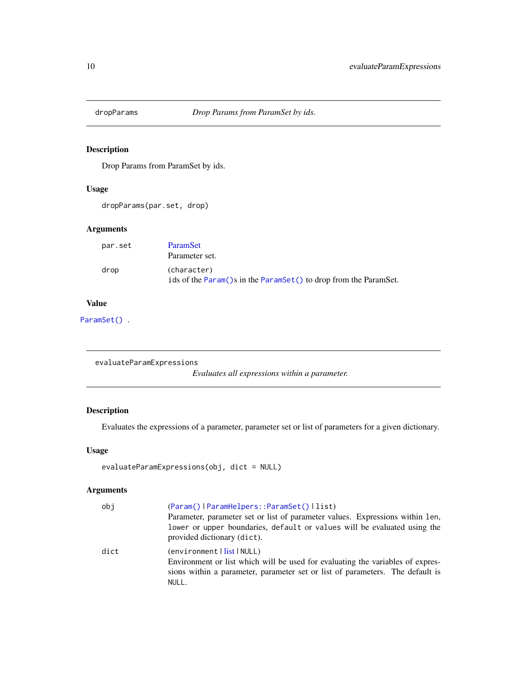<span id="page-9-0"></span>

# Description

Drop Params from ParamSet by ids.

# Usage

dropParams(par.set, drop)

# Arguments

| Parameter set.                                                                  |
|---------------------------------------------------------------------------------|
|                                                                                 |
| (character)<br>ids of the Param()s in the ParamSet() to drop from the ParamSet. |
|                                                                                 |

# Value

[ParamSet\(\)](#page-48-1).

evaluateParamExpressions

*Evaluates all expressions within a parameter.*

# Description

Evaluates the expressions of a parameter, parameter set or list of parameters for a given dictionary.

# Usage

```
evaluateParamExpressions(obj, dict = NULL)
```
### Arguments

| obj  | (Param()   ParamHelpers:: ParamSet()   list)                                                                                                                                                              |
|------|-----------------------------------------------------------------------------------------------------------------------------------------------------------------------------------------------------------|
|      | Parameter, parameter set or list of parameter values. Expressions within 1 en,                                                                                                                            |
|      | lower or upper boundaries, default or values will be evaluated using the<br>provided dictionary (dict).                                                                                                   |
| dict | (environment丨 <mark>list</mark> 丨NULL)<br>Environment or list which will be used for evaluating the variables of expres-<br>sions within a parameter, parameter set or list of parameters. The default is |
|      | NULL.                                                                                                                                                                                                     |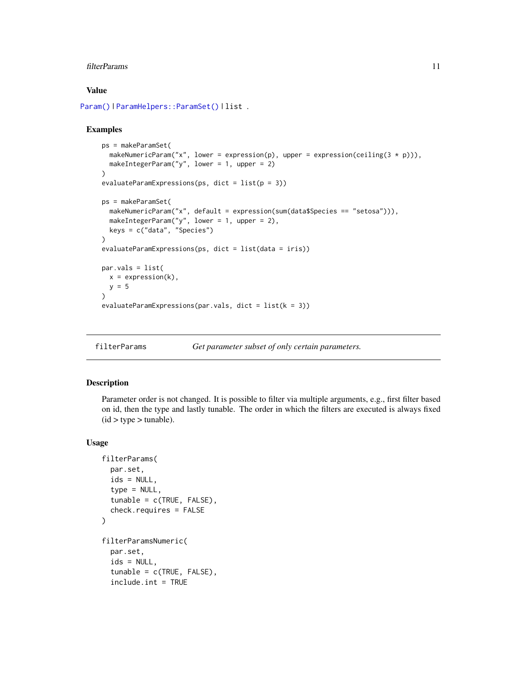#### <span id="page-10-0"></span>filterParams 11

#### Value

```
Param() | ParamHelpers:: ParamSet() | list .
```
#### Examples

```
ps = makeParamSet(
  makeNumericParam("x", lower = expression(p), upper = expression(ceiling(3 * p))),
  makeIntegerParam("y", lower = 1, upper = 2)
\mathcal{L}evaluateParamExpressions(ps, dict = list(p = 3))ps = makeParamSet(
  makeNumericParam("x", default = expression(sum(data$Species == "setosa"))),
  makeIntegerParam("y", lower = 1, upper = 2),
  keys = c("data", "Species")
\lambdaevaluateParamExpressions(ps, dict = list(data = iris))
par.vals = list(
  x = expression(k),
  y = 5)
evaluateParamExpressions(par.vals, dict = list(k = 3))
```
filterParams *Get parameter subset of only certain parameters.*

# Description

Parameter order is not changed. It is possible to filter via multiple arguments, e.g., first filter based on id, then the type and lastly tunable. The order in which the filters are executed is always fixed  $(id > type > tunable).$ 

#### Usage

```
filterParams(
  par.set,
  ids = NULL,type = NULL,tunable = c(TRUE, FALSE),
  check.requires = FALSE
\mathcal{L}filterParamsNumeric(
  par.set,
  ids = NULL,tunable = c(TRUE, FALSE),
  include.int = TRUE
```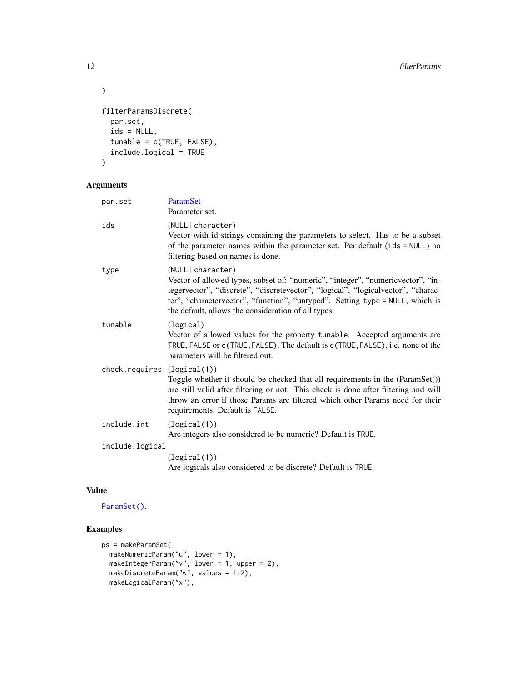```
\mathcal{L}filterParamsDiscrete(
  par.set,
  ids = NULL,tunable = c(TRUE, FALSE),
  include.logical = TRUE
\mathcal{L}
```

| ParamSet<br>Parameter set.                                                                                                                                                                                                                                                                                                         |
|------------------------------------------------------------------------------------------------------------------------------------------------------------------------------------------------------------------------------------------------------------------------------------------------------------------------------------|
| (NULL   character)<br>Vector with id strings containing the parameters to select. Has to be a subset<br>of the parameter names within the parameter set. Per default (ids = NULL) no<br>filtering based on names is done.                                                                                                          |
| (NULL   character)<br>Vector of allowed types, subset of: "numeric", "integer", "numeric vector", "in-<br>tegervector", "discrete", "discretevector", "logical", "logicalvector", "charac-<br>ter", "charactervector", "function", "untyped". Setting type = NULL, which is<br>the default, allows the consideration of all types. |
| (logical)<br>Vector of allowed values for the property tunable. Accepted arguments are<br>TRUE, FALSE or c(TRUE, FALSE). The default is c(TRUE, FALSE), i.e. none of the<br>parameters will be filtered out.                                                                                                                       |
| (logical(1))<br>Toggle whether it should be checked that all requirements in the (ParamSet())<br>are still valid after filtering or not. This check is done after filtering and will<br>throw an error if those Params are filtered which other Params need for their<br>requirements. Default is FALSE.                           |
| (logical(1))<br>Are integers also considered to be numeric? Default is TRUE.                                                                                                                                                                                                                                                       |
| include.logical                                                                                                                                                                                                                                                                                                                    |
| (logical(1))<br>Are logicals also considered to be discrete? Default is TRUE.                                                                                                                                                                                                                                                      |
|                                                                                                                                                                                                                                                                                                                                    |

# Value

[ParamSet\(\)](#page-48-1).

# Examples

```
ps = makeParamSet(
  makeNumericParam("u", lower = 1),
  makeIntegerParam("v", lower = 1, upper = 2),
  makeDiscreteParam("w", values = 1:2),
  makeLogicalParam("x"),
```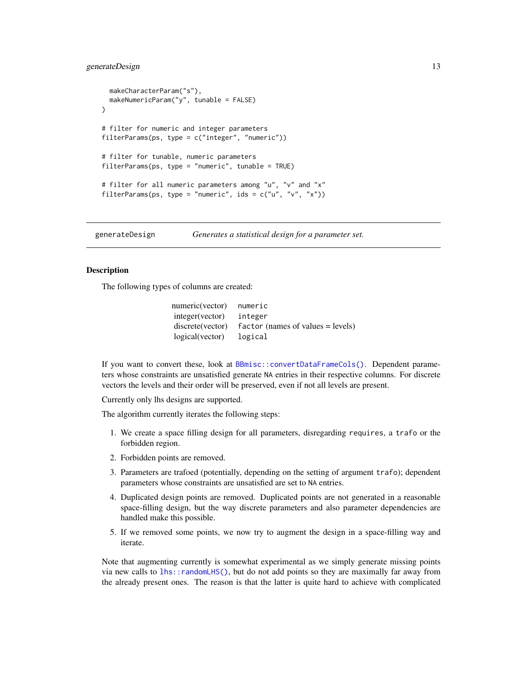# <span id="page-12-0"></span>generateDesign 13

```
makeCharacterParam("s"),
 makeNumericParam("y", tunable = FALSE)
)
# filter for numeric and integer parameters
filterParams(ps, type = c("integer", "numeric"))
# filter for tunable, numeric parameters
filterParams(ps, type = "numeric", tunable = TRUE)
# filter for all numeric parameters among "u", "v" and "x"
filterParams(ps, type = "numeric", ids = c("u", "v", "x"))
```
<span id="page-12-1"></span>generateDesign *Generates a statistical design for a parameter set.*

#### Description

The following types of columns are created:

| numeric(vector)  | numeric                               |
|------------------|---------------------------------------|
| integer (vector) | integer                               |
| discrete(vector) | $factor$ (names of values $=$ levels) |
| logical(vector)  | logical                               |

If you want to convert these, look at [BBmisc::convertDataFrameCols\(\)](#page-0-0). Dependent parameters whose constraints are unsatisfied generate NA entries in their respective columns. For discrete vectors the levels and their order will be preserved, even if not all levels are present.

Currently only lhs designs are supported.

The algorithm currently iterates the following steps:

- 1. We create a space filling design for all parameters, disregarding requires, a trafo or the forbidden region.
- 2. Forbidden points are removed.
- 3. Parameters are trafoed (potentially, depending on the setting of argument trafo); dependent parameters whose constraints are unsatisfied are set to NA entries.
- 4. Duplicated design points are removed. Duplicated points are not generated in a reasonable space-filling design, but the way discrete parameters and also parameter dependencies are handled make this possible.
- 5. If we removed some points, we now try to augment the design in a space-filling way and iterate.

Note that augmenting currently is somewhat experimental as we simply generate missing points via new calls to [lhs::randomLHS\(\)](#page-0-0), but do not add points so they are maximally far away from the already present ones. The reason is that the latter is quite hard to achieve with complicated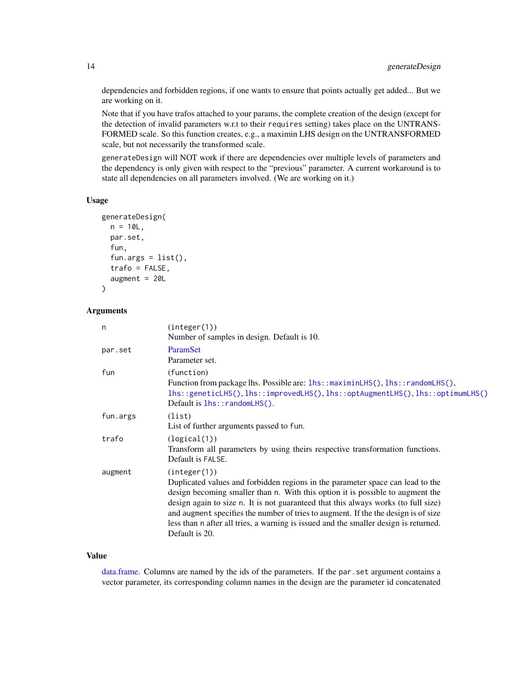dependencies and forbidden regions, if one wants to ensure that points actually get added... But we are working on it.

Note that if you have trafos attached to your params, the complete creation of the design (except for the detection of invalid parameters w.r.t to their requires setting) takes place on the UNTRANS-FORMED scale. So this function creates, e.g., a maximin LHS design on the UNTRANSFORMED scale, but not necessarily the transformed scale.

generateDesign will NOT work if there are dependencies over multiple levels of parameters and the dependency is only given with respect to the "previous" parameter. A current workaround is to state all dependencies on all parameters involved. (We are working on it.)

#### Usage

```
generateDesign(
  n = 10L,par.set,
  fun,
  fun.args = list(),
  trafo = FALSE,
  augment = 20L
\lambda
```
#### Arguments

| n        | (integer(1))<br>Number of samples in design. Default is 10.                                                                                                                                                                                                                                                                                                                                                                                                            |
|----------|------------------------------------------------------------------------------------------------------------------------------------------------------------------------------------------------------------------------------------------------------------------------------------------------------------------------------------------------------------------------------------------------------------------------------------------------------------------------|
| par.set  | ParamSet<br>Parameter set.                                                                                                                                                                                                                                                                                                                                                                                                                                             |
| fun      | (function)<br>Function from package lhs. Possible are: lhs::maximinLHS(), lhs::randomLHS(),<br>lhs::geneticLHS(),lhs::improvedLHS(),lhs::optAugmentLHS(),lhs::optimumLHS()<br>Default is $lhs::randomLHS()$ .                                                                                                                                                                                                                                                          |
| fun.args | (list)<br>List of further arguments passed to fun.                                                                                                                                                                                                                                                                                                                                                                                                                     |
| trafo    | (logical(1))<br>Transform all parameters by using theirs respective transformation functions.<br>Default is FALSE.                                                                                                                                                                                                                                                                                                                                                     |
| augment  | (integer(1))<br>Duplicated values and forbidden regions in the parameter space can lead to the<br>design becoming smaller than n. With this option it is possible to augment the<br>design again to size n. It is not guaranteed that this always works (to full size)<br>and augment specifies the number of tries to augment. If the the design is of size<br>less than n after all tries, a warning is issued and the smaller design is returned.<br>Default is 20. |

#### Value

[data.frame.](#page-0-0) Columns are named by the ids of the parameters. If the par.set argument contains a vector parameter, its corresponding column names in the design are the parameter id concatenated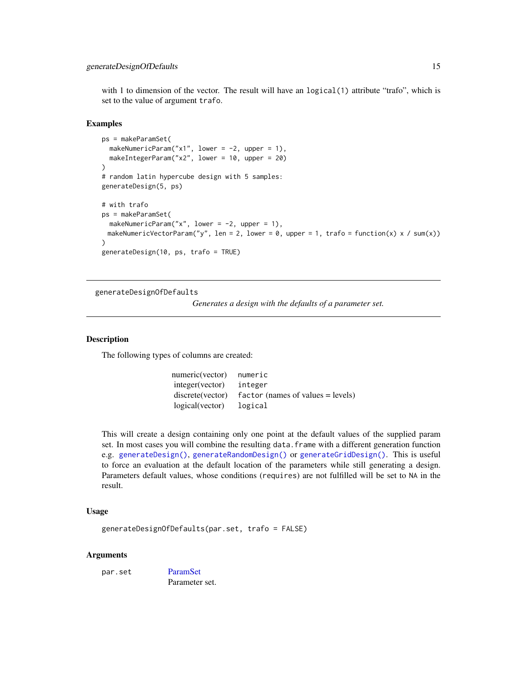<span id="page-14-0"></span>with 1 to dimension of the vector. The result will have an logical(1) attribute "trafo", which is set to the value of argument trafo.

#### Examples

```
ps = makeParamSet(
  makeNumericParam("x1", lower = -2, upper = 1),
  makeIntegerParam("x2", lower = 10, upper = 20)
)
# random latin hypercube design with 5 samples:
generateDesign(5, ps)
# with trafo
ps = makeParamSet(
  makeNumericParam("x", lower = -2, upper = 1),
 makeNumericVectorParam("y", len = 2, lower = 0, upper = 1, trafo = function(x) x / sum(x))
)
generateDesign(10, ps, trafo = TRUE)
```
generateDesignOfDefaults

*Generates a design with the defaults of a parameter set.*

#### Description

The following types of columns are created:

numeric(vector) numeric integer(vector) integer discrete(vector) factor (names of values = levels) logical(vector) logical

This will create a design containing only one point at the default values of the supplied param set. In most cases you will combine the resulting data.frame with a different generation function e.g. [generateDesign\(\)](#page-12-1), [generateRandomDesign\(\)](#page-16-1) or [generateGridDesign\(\)](#page-15-1). This is useful to force an evaluation at the default location of the parameters while still generating a design. Parameters default values, whose conditions (requires) are not fulfilled will be set to NA in the result.

# Usage

generateDesignOfDefaults(par.set, trafo = FALSE)

#### Arguments

par.set [ParamSet](#page-48-1)

Parameter set.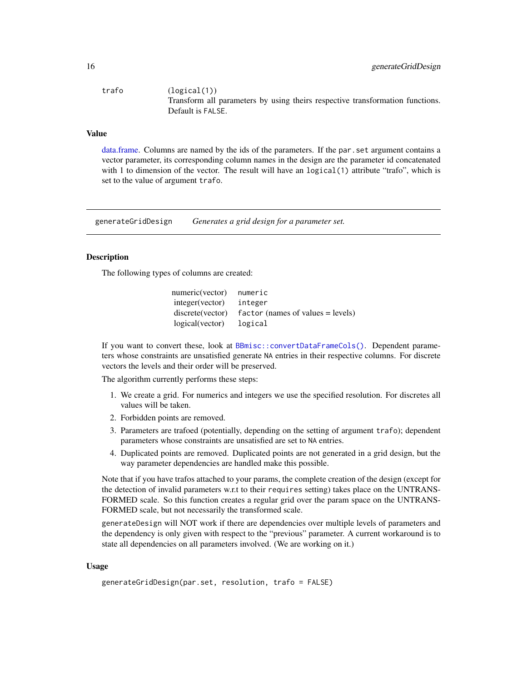<span id="page-15-0"></span>

| trafo | (logical(1))                                                                  |
|-------|-------------------------------------------------------------------------------|
|       | Transform all parameters by using theirs respective transformation functions. |
|       | Default is FALSE.                                                             |

# Value

[data.frame.](#page-0-0) Columns are named by the ids of the parameters. If the par.set argument contains a vector parameter, its corresponding column names in the design are the parameter id concatenated with 1 to dimension of the vector. The result will have an logical(1) attribute "trafo", which is set to the value of argument trafo.

<span id="page-15-1"></span>generateGridDesign *Generates a grid design for a parameter set.*

#### Description

The following types of columns are created:

numeric(vector) numeric integer(vector) integer discrete(vector) factor (names of values = levels) logical(vector) logical

If you want to convert these, look at [BBmisc::convertDataFrameCols\(\)](#page-0-0). Dependent parameters whose constraints are unsatisfied generate NA entries in their respective columns. For discrete vectors the levels and their order will be preserved.

The algorithm currently performs these steps:

- 1. We create a grid. For numerics and integers we use the specified resolution. For discretes all values will be taken.
- 2. Forbidden points are removed.
- 3. Parameters are trafoed (potentially, depending on the setting of argument trafo); dependent parameters whose constraints are unsatisfied are set to NA entries.
- 4. Duplicated points are removed. Duplicated points are not generated in a grid design, but the way parameter dependencies are handled make this possible.

Note that if you have trafos attached to your params, the complete creation of the design (except for the detection of invalid parameters w.r.t to their requires setting) takes place on the UNTRANS-FORMED scale. So this function creates a regular grid over the param space on the UNTRANS-FORMED scale, but not necessarily the transformed scale.

generateDesign will NOT work if there are dependencies over multiple levels of parameters and the dependency is only given with respect to the "previous" parameter. A current workaround is to state all dependencies on all parameters involved. (We are working on it.)

#### Usage

```
generateGridDesign(par.set, resolution, trafo = FALSE)
```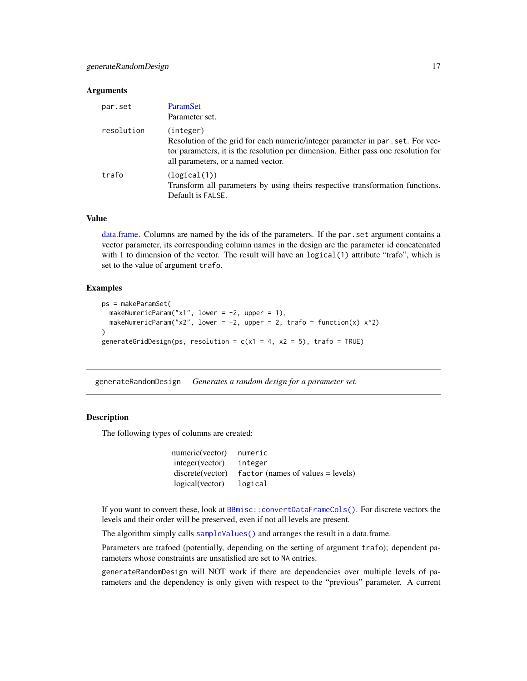<span id="page-16-0"></span>

| par.set    | <b>ParamSet</b><br>Parameter set.                                                                                                                                                                                         |
|------------|---------------------------------------------------------------------------------------------------------------------------------------------------------------------------------------------------------------------------|
| resolution | (integer)<br>Resolution of the grid for each numeric/integer parameter in par . set. For vec-<br>tor parameters, it is the resolution per dimension. Either pass one resolution for<br>all parameters, or a named vector. |
| trafo      | (logical(1))<br>Transform all parameters by using theirs respective transformation functions.<br>Default is FALSE.                                                                                                        |

# Value

[data.frame.](#page-0-0) Columns are named by the ids of the parameters. If the par.set argument contains a vector parameter, its corresponding column names in the design are the parameter id concatenated with 1 to dimension of the vector. The result will have an logical(1) attribute "trafo", which is set to the value of argument trafo.

#### Examples

```
ps = makeParamSet(
 makeNumericParam("x1", lower = -2, upper = 1),
 makeNumericParam("x2", lower = -2, upper = 2, trafo = function(x) x^2)
)
generateGridDesign(ps, resolution = c(x1 = 4, x2 = 5), trafo = TRUE)
```
<span id="page-16-1"></span>generateRandomDesign *Generates a random design for a parameter set.*

#### **Description**

The following types of columns are created:

| numeric(vector)  | numeric                               |
|------------------|---------------------------------------|
| integer (vector) | integer                               |
| discrete(vector) | $factor$ (names of values $=$ levels) |
| logical(vector)  | logical                               |

If you want to convert these, look at [BBmisc::convertDataFrameCols\(\)](#page-0-0). For discrete vectors the levels and their order will be preserved, even if not all levels are present.

The algorithm simply calls [sampleValues\(\)](#page-65-1) and arranges the result in a data.frame.

Parameters are trafoed (potentially, depending on the setting of argument trafo); dependent parameters whose constraints are unsatisfied are set to NA entries.

generateRandomDesign will NOT work if there are dependencies over multiple levels of parameters and the dependency is only given with respect to the "previous" parameter. A current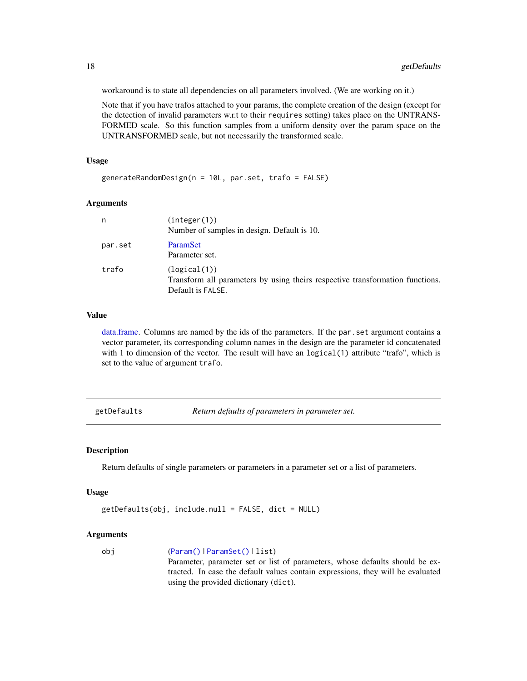workaround is to state all dependencies on all parameters involved. (We are working on it.)

Note that if you have trafos attached to your params, the complete creation of the design (except for the detection of invalid parameters w.r.t to their requires setting) takes place on the UNTRANS-FORMED scale. So this function samples from a uniform density over the param space on the UNTRANSFORMED scale, but not necessarily the transformed scale.

#### Usage

generateRandomDesign(n = 10L, par.set, trafo = FALSE)

#### Arguments

| n       | (integer(1))<br>Number of samples in design. Default is 10.                                                        |
|---------|--------------------------------------------------------------------------------------------------------------------|
| par.set | <b>ParamSet</b><br>Parameter set.                                                                                  |
| trafo   | (logical(1))<br>Transform all parameters by using theirs respective transformation functions.<br>Default is FALSE. |

#### Value

[data.frame.](#page-0-0) Columns are named by the ids of the parameters. If the par.set argument contains a vector parameter, its corresponding column names in the design are the parameter id concatenated with 1 to dimension of the vector. The result will have an logical(1) attribute "trafo", which is set to the value of argument trafo.

getDefaults *Return defaults of parameters in parameter set.*

#### Description

Return defaults of single parameters or parameters in a parameter set or a list of parameters.

#### Usage

```
getDefaults(obj, include.null = FALSE, dict = NULL)
```
#### Arguments

obj ([Param\(\)](#page-51-1) | [ParamSet\(\)](#page-48-1) | list) Parameter, parameter set or list of parameters, whose defaults should be extracted. In case the default values contain expressions, they will be evaluated using the provided dictionary (dict).

<span id="page-17-0"></span>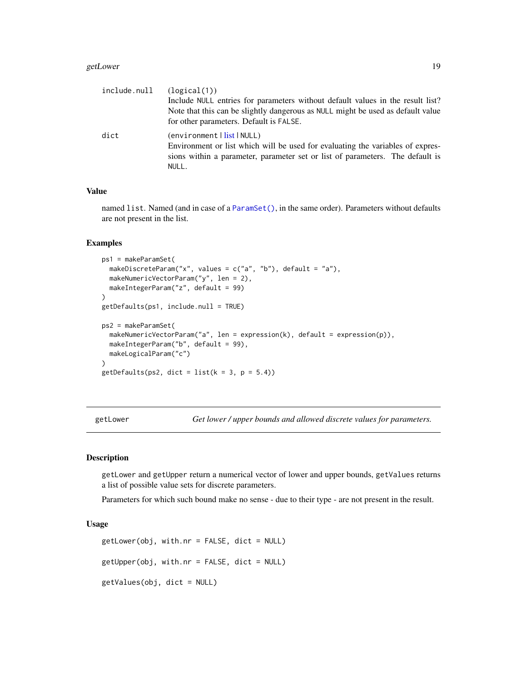#### <span id="page-18-0"></span>getLower 19

| (logical(1))                                                                    |
|---------------------------------------------------------------------------------|
| Include NULL entries for parameters without default values in the result list?  |
| Note that this can be slightly dangerous as NULL might be used as default value |
| for other parameters. Default is FALSE.                                         |
| (environment  <u>list</u>  NULL)                                                |
| Environment or list which will be used for evaluating the variables of expres-  |
| sions within a parameter, parameter set or list of parameters. The default is   |
| NULL.                                                                           |
|                                                                                 |

# Value

named list. Named (and in case of a [ParamSet\(\)](#page-48-1), in the same order). Parameters without defaults are not present in the list.

#### Examples

```
ps1 = makeParamSet(
  makeDiscreteParam("x", values = c("a", "b"), default = "a"),
  makeNumericVectorParam("y", len = 2),
  makeIntegerParam("z", default = 99)
)
getDefaults(ps1, include.null = TRUE)
ps2 = makeParamSet(
  makeNumericVectorParam("a", len = expression(k), default = expression(p)),
  makeIntegerParam("b", default = 99),
  makeLogicalParam("c")
)
getDefaults(ps2, dict = list(k = 3, p = 5.4))
```
getLower *Get lower / upper bounds and allowed discrete values for parameters.*

#### Description

getLower and getUpper return a numerical vector of lower and upper bounds, getValues returns a list of possible value sets for discrete parameters.

Parameters for which such bound make no sense - due to their type - are not present in the result.

#### Usage

```
getLower(obj, with.nr = FALSE, dict = NULL)getUpper(obj, with.nr = FALSE, dict = NULL)getValues(obj, dict = NULL)
```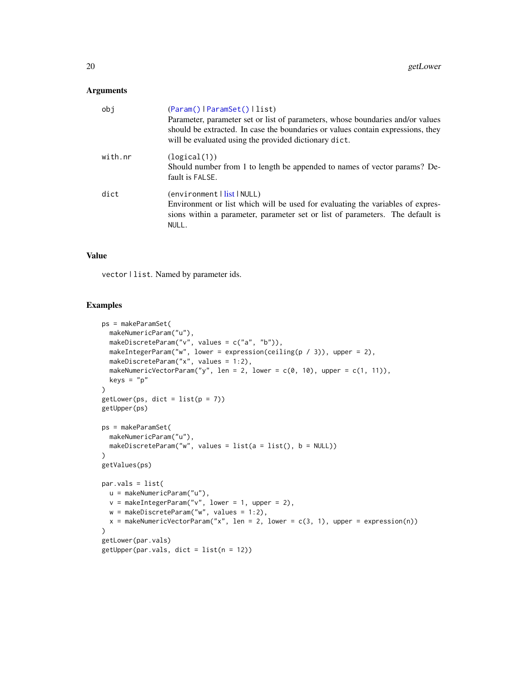| obi     | (Param()   ParamSet()   list)<br>Parameter, parameter set or list of parameters, whose boundaries and/or values<br>should be extracted. In case the boundaries or values contain expressions, they<br>will be evaluated using the provided dictionary dict. |
|---------|-------------------------------------------------------------------------------------------------------------------------------------------------------------------------------------------------------------------------------------------------------------|
| with.nr | (logical(1))<br>Should number from 1 to length be appended to names of vector params? De-<br>fault is FALSE.                                                                                                                                                |
| dict    | (environment   list   NULL)<br>Environment or list which will be used for evaluating the variables of expres-<br>sions within a parameter, parameter set or list of parameters. The default is<br>NULL.                                                     |

# Value

vector | list. Named by parameter ids.

# Examples

```
ps = makeParamSet(
 makeNumericParam("u"),
 makeDiscreteParam("v", values = c("a", "b")),
 makeIntegerParam("w", lower = expression(ceiling(p / 3)), upper = 2),
 makeDiscreteParam("x", values = 1:2),
  makeNumericVectorParam("y", len = 2, lower = c(0, 10), upper = c(1, 11)),
  keys = "p"
\mathcal{L}getLower(ps, dict = list(p = 7))getUpper(ps)
ps = makeParamSet(
 makeNumericParam("u"),
 makeDiscreteParam("w", values = list(a = list(), b = NULL))
\lambdagetValues(ps)
par.vals = list(
 u = makeNumericParam("u"),
 v = makeIntegerParam("v", lower = 1, upper = 2),
 w = makeDiscreteParam("w", values = 1:2),x = makeNumericVectorParam("x", len = 2, lower = c(3, 1), upper = expression(n))
\mathcal{L}getLower(par.vals)
getUpper(par.vals, dict = list(n = 12))
```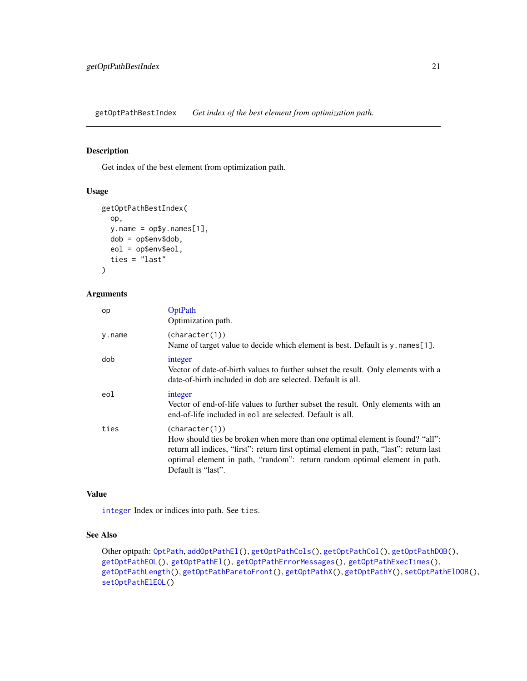<span id="page-20-1"></span><span id="page-20-0"></span>getOptPathBestIndex *Get index of the best element from optimization path.*

# Description

Get index of the best element from optimization path.

#### Usage

```
getOptPathBestIndex(
 op,
 y.name = op$y.names[1],
 dob = op$env$dob,
  eol = op$env$eol,
  ties = "last"
)
```
# Arguments

| op     | OptPath<br>Optimization path.                                                                                                                                                                                                                                                                |
|--------|----------------------------------------------------------------------------------------------------------------------------------------------------------------------------------------------------------------------------------------------------------------------------------------------|
| y.name | (character(1))<br>Name of target value to decide which element is best. Default is $y$ names [1].                                                                                                                                                                                            |
| dob    | integer<br>Vector of date-of-birth values to further subset the result. Only elements with a<br>date-of-birth included in dob are selected. Default is all.                                                                                                                                  |
| eol    | integer<br>Vector of end-of-life values to further subset the result. Only elements with an<br>end-of-life included in eol are selected. Default is all.                                                                                                                                     |
| ties   | (character(1))<br>How should ties be broken when more than one optimal element is found? "all":<br>return all indices, "first": return first optimal element in path, "last": return last<br>optimal element in path, "random": return random optimal element in path.<br>Default is "last". |

#### Value

[integer](#page-0-0) Index or indices into path. See ties.

# See Also

Other optpath: [OptPath](#page-49-1), [addOptPathEl\(](#page-2-1)), [getOptPathCols\(](#page-22-1)), [getOptPathCol\(](#page-21-1)), [getOptPathDOB\(](#page-23-1)), [getOptPathEOL\(](#page-24-1)), [getOptPathEl\(](#page-23-2)), [getOptPathErrorMessages\(](#page-25-1)), [getOptPathExecTimes\(](#page-26-1)), [getOptPathLength\(](#page-26-2)), [getOptPathParetoFront\(](#page-27-1)), [getOptPathX\(](#page-28-1)), [getOptPathY\(](#page-29-1)), [setOptPathElDOB\(](#page-66-1)), [setOptPathElEOL\(](#page-67-1))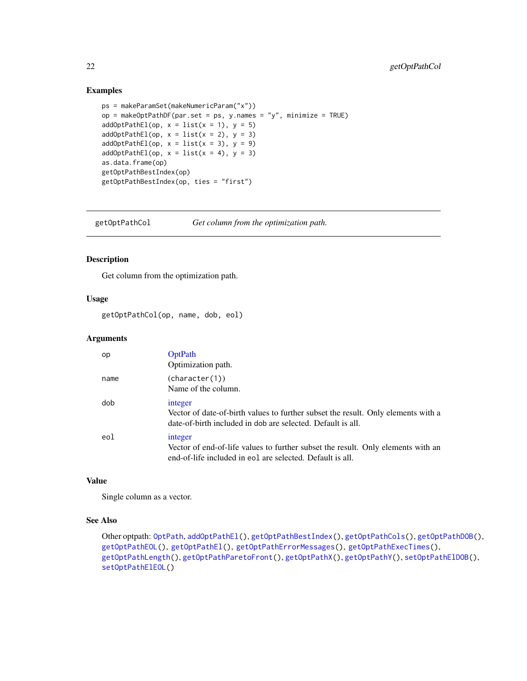#### Examples

```
ps = makeParamSet(makeNumericParam("x"))
op = makeOptPathDF(par.set = ps, y.names = "y", minimize = TRUE)
addOptPathEl(op, x = list(x = 1), y = 5)
addOptPathEl(op, x = list(x = 2), y = 3)addOptPathEl(op, x = list(x = 3), y = 9)addOptPathEl(op, x = list(x = 4), y = 3)as.data.frame(op)
getOptPathBestIndex(op)
getOptPathBestIndex(op, ties = "first")
```
<span id="page-21-1"></span>getOptPathCol *Get column from the optimization path.*

#### Description

Get column from the optimization path.

# Usage

getOptPathCol(op, name, dob, eol)

#### Arguments

| op   | <b>OptPath</b><br>Optimization path.                                                                                                                        |
|------|-------------------------------------------------------------------------------------------------------------------------------------------------------------|
| name | (character(1))<br>Name of the column.                                                                                                                       |
| dob  | integer<br>Vector of date-of-birth values to further subset the result. Only elements with a<br>date-of-birth included in dob are selected. Default is all. |
| eol  | integer<br>Vector of end-of-life values to further subset the result. Only elements with an<br>end-of-life included in eol are selected. Default is all.    |

# Value

Single column as a vector.

#### See Also

```
Other optpath: OptPath, addOptPathEl(), getOptPathBestIndex(), getOptPathCols(), getOptPathDOB(),
getOptPathEOL(), getOptPathEl(), getOptPathErrorMessages(), getOptPathExecTimes(),
getOptPathLength(), getOptPathParetoFront(), getOptPathX(), getOptPathY(), setOptPathElDOB(),
setOptPathElEOL()
```
<span id="page-21-0"></span>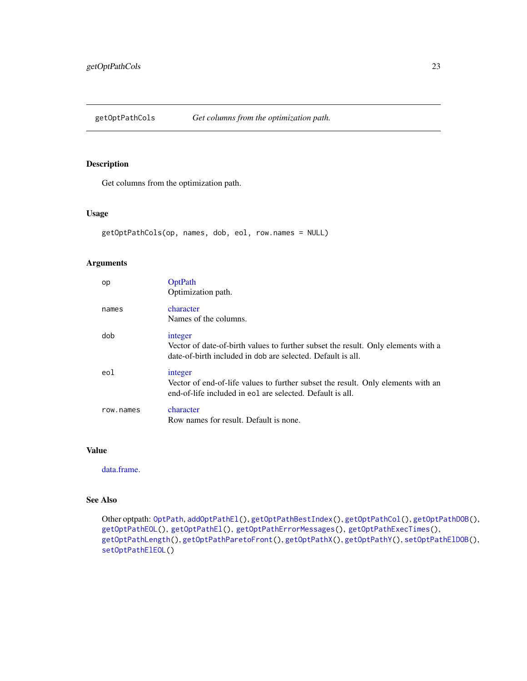<span id="page-22-1"></span><span id="page-22-0"></span>getOptPathCols *Get columns from the optimization path.*

# Description

Get columns from the optimization path.

# Usage

```
getOptPathCols(op, names, dob, eol, row.names = NULL)
```
# Arguments

| op        | OptPath<br>Optimization path.                                                                                                                               |
|-----------|-------------------------------------------------------------------------------------------------------------------------------------------------------------|
| names     | character<br>Names of the columns.                                                                                                                          |
| dob       | integer<br>Vector of date-of-birth values to further subset the result. Only elements with a<br>date-of-birth included in dob are selected. Default is all. |
| eol       | integer<br>Vector of end-of-life values to further subset the result. Only elements with an<br>end-of-life included in eol are selected. Default is all.    |
| row.names | character<br>Row names for result. Default is none.                                                                                                         |

# Value

[data.frame.](#page-0-0)

# See Also

Other optpath: [OptPath](#page-49-1), [addOptPathEl\(](#page-2-1)), [getOptPathBestIndex\(](#page-20-1)), [getOptPathCol\(](#page-21-1)), [getOptPathDOB\(](#page-23-1)), [getOptPathEOL\(](#page-24-1)), [getOptPathEl\(](#page-23-2)), [getOptPathErrorMessages\(](#page-25-1)), [getOptPathExecTimes\(](#page-26-1)), [getOptPathLength\(](#page-26-2)), [getOptPathParetoFront\(](#page-27-1)), [getOptPathX\(](#page-28-1)), [getOptPathY\(](#page-29-1)), [setOptPathElDOB\(](#page-66-1)), [setOptPathElEOL\(](#page-67-1))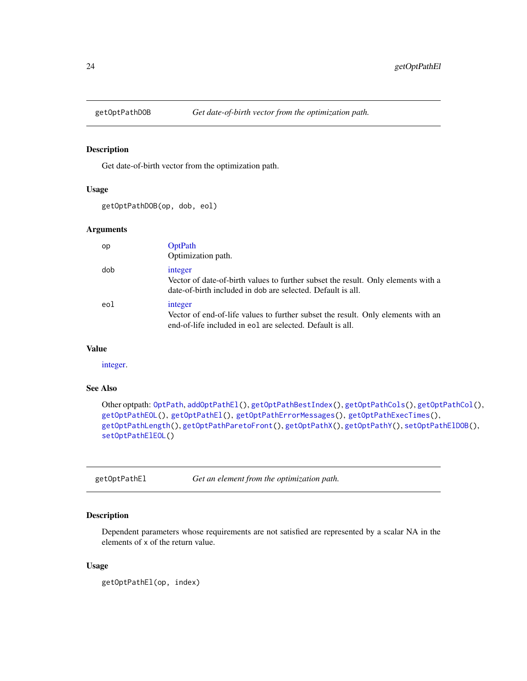<span id="page-23-1"></span><span id="page-23-0"></span>

#### Description

Get date-of-birth vector from the optimization path.

# Usage

getOptPathDOB(op, dob, eol)

### Arguments

| op  | <b>OptPath</b><br>Optimization path.                                                                                                                        |
|-----|-------------------------------------------------------------------------------------------------------------------------------------------------------------|
| dob | integer<br>Vector of date-of-birth values to further subset the result. Only elements with a<br>date-of-birth included in dob are selected. Default is all. |
| eol | integer<br>Vector of end-of-life values to further subset the result. Only elements with an<br>end-of-life included in eol are selected. Default is all.    |

#### Value

[integer.](#page-0-0)

# See Also

```
Other optpath: OptPath, addOptPathEl(), getOptPathBestIndex(), getOptPathCols(), getOptPathCol(),
getOptPathEOL(), getOptPathEl(), getOptPathErrorMessages(), getOptPathExecTimes(),
getOptPathLength(), getOptPathParetoFront(), getOptPathX(), getOptPathY(), setOptPathElDOB(),
setOptPathElEOL()
```
<span id="page-23-2"></span>getOptPathEl *Get an element from the optimization path.*

# Description

Dependent parameters whose requirements are not satisfied are represented by a scalar NA in the elements of x of the return value.

#### Usage

getOptPathEl(op, index)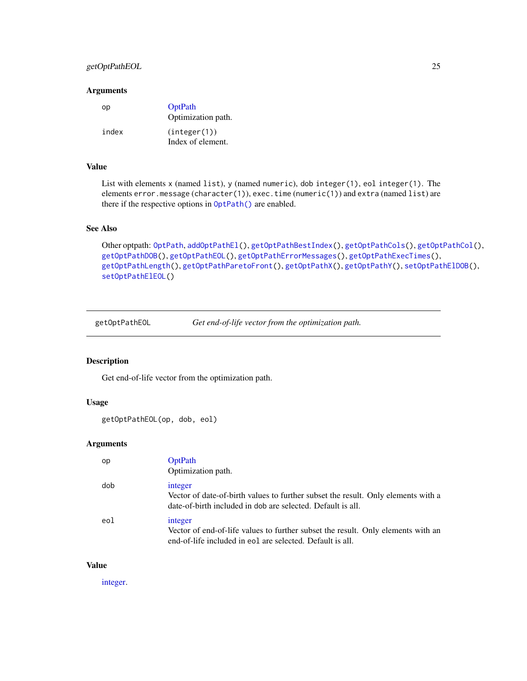# <span id="page-24-0"></span>getOptPathEOL 25

#### Arguments

| oр    | OptPath<br>Optimization path.     |
|-------|-----------------------------------|
| index | (integer(1))<br>Index of element. |

# Value

List with elements x (named list), y (named numeric), dob integer(1), eol integer(1). The elements error.message (character(1)), exec.time (numeric(1)) and extra (named list) are there if the respective options in [OptPath\(\)](#page-49-1) are enabled.

#### See Also

```
Other optpath: OptPath, addOptPathEl(), getOptPathBestIndex(), getOptPathCols(), getOptPathCol(),
getOptPathDOB(), getOptPathEOL(), getOptPathErrorMessages(), getOptPathExecTimes(),
getOptPathLength(), getOptPathParetoFront(), getOptPathX(), getOptPathY(), setOptPathElDOB(),
setOptPathElEOL()
```
<span id="page-24-1"></span>getOptPathEOL *Get end-of-life vector from the optimization path.*

# Description

Get end-of-life vector from the optimization path.

# Usage

```
getOptPathEOL(op, dob, eol)
```
# Arguments

| op  | <b>OptPath</b><br>Optimization path.                                                                                                                        |
|-----|-------------------------------------------------------------------------------------------------------------------------------------------------------------|
| dob | integer<br>Vector of date-of-birth values to further subset the result. Only elements with a<br>date-of-birth included in dob are selected. Default is all. |
| eol | integer<br>Vector of end-of-life values to further subset the result. Only elements with an<br>end-of-life included in eol are selected. Default is all.    |

#### Value

[integer.](#page-0-0)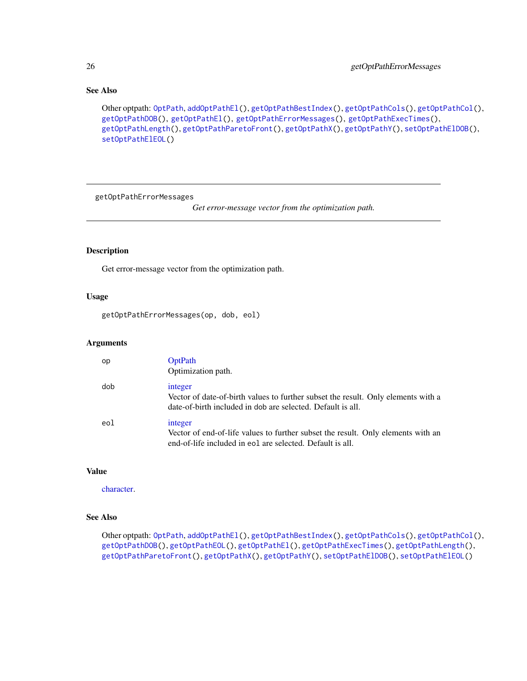# See Also

```
Other optpath: OptPath, addOptPathEl(), getOptPathBestIndex(), getOptPathCols(), getOptPathCol(),
getOptPathDOB(), getOptPathEl(), getOptPathErrorMessages(), getOptPathExecTimes(),
getOptPathLength(), getOptPathParetoFront(), getOptPathX(), getOptPathY(), setOptPathElDOB(),
setOptPathElEOL()
```
<span id="page-25-1"></span>getOptPathErrorMessages

*Get error-message vector from the optimization path.*

# Description

Get error-message vector from the optimization path.

# Usage

getOptPathErrorMessages(op, dob, eol)

#### Arguments

| op  | <b>OptPath</b><br>Optimization path.                                                                                                                        |
|-----|-------------------------------------------------------------------------------------------------------------------------------------------------------------|
| dob | integer<br>Vector of date-of-birth values to further subset the result. Only elements with a<br>date-of-birth included in dob are selected. Default is all. |
| eol | integer<br>Vector of end-of-life values to further subset the result. Only elements with an<br>end-of-life included in eol are selected. Default is all.    |

# Value

[character.](#page-0-0)

#### See Also

Other optpath: [OptPath](#page-49-1), [addOptPathEl\(](#page-2-1)), [getOptPathBestIndex\(](#page-20-1)), [getOptPathCols\(](#page-22-1)), [getOptPathCol\(](#page-21-1)), [getOptPathDOB\(](#page-23-1)), [getOptPathEOL\(](#page-24-1)), [getOptPathEl\(](#page-23-2)), [getOptPathExecTimes\(](#page-26-1)), [getOptPathLength\(](#page-26-2)), [getOptPathParetoFront\(](#page-27-1)), [getOptPathX\(](#page-28-1)), [getOptPathY\(](#page-29-1)), [setOptPathElDOB\(](#page-66-1)), [setOptPathElEOL\(](#page-67-1))

<span id="page-25-0"></span>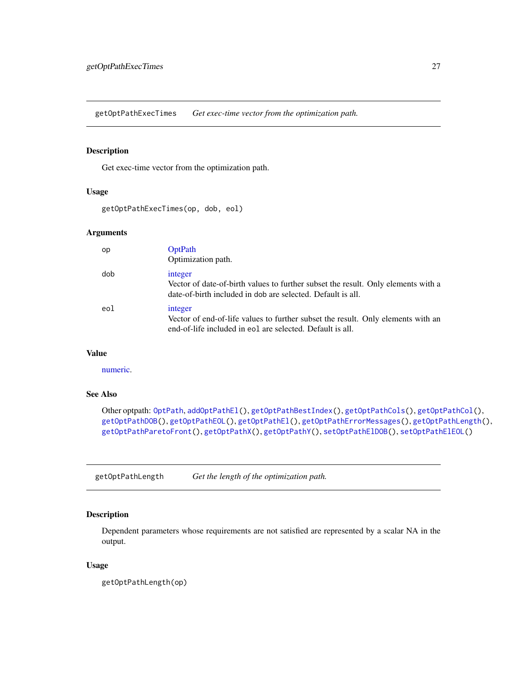<span id="page-26-1"></span><span id="page-26-0"></span>getOptPathExecTimes *Get exec-time vector from the optimization path.*

# **Description**

Get exec-time vector from the optimization path.

# Usage

getOptPathExecTimes(op, dob, eol)

# Arguments

| op  | <b>OptPath</b><br>Optimization path.                                                                                                                        |
|-----|-------------------------------------------------------------------------------------------------------------------------------------------------------------|
| dob | integer<br>Vector of date-of-birth values to further subset the result. Only elements with a<br>date-of-birth included in dob are selected. Default is all. |
| eol | integer<br>Vector of end-of-life values to further subset the result. Only elements with an<br>end-of-life included in eol are selected. Default is all.    |

# Value

[numeric.](#page-0-0)

# See Also

Other optpath: [OptPath](#page-49-1), [addOptPathEl\(](#page-2-1)), [getOptPathBestIndex\(](#page-20-1)), [getOptPathCols\(](#page-22-1)), [getOptPathCol\(](#page-21-1)), [getOptPathDOB\(](#page-23-1)), [getOptPathEOL\(](#page-24-1)), [getOptPathEl\(](#page-23-2)), [getOptPathErrorMessages\(](#page-25-1)), [getOptPathLength\(](#page-26-2)), [getOptPathParetoFront\(](#page-27-1)), [getOptPathX\(](#page-28-1)), [getOptPathY\(](#page-29-1)), [setOptPathElDOB\(](#page-66-1)), [setOptPathElEOL\(](#page-67-1))

<span id="page-26-2"></span>getOptPathLength *Get the length of the optimization path.*

# Description

Dependent parameters whose requirements are not satisfied are represented by a scalar NA in the output.

#### Usage

getOptPathLength(op)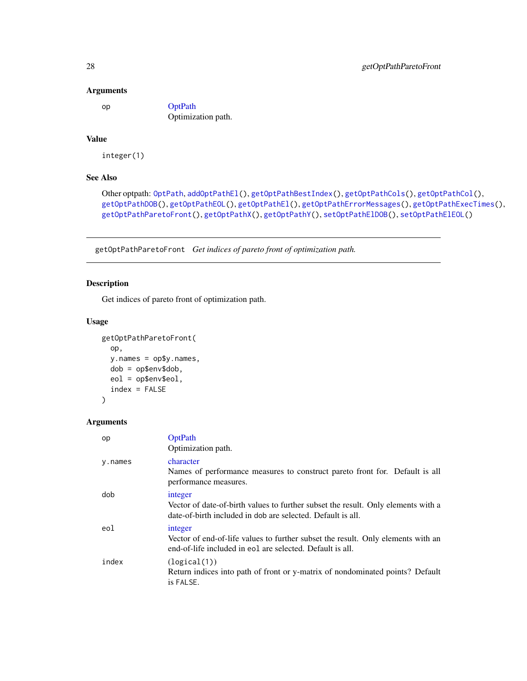op [OptPath](#page-49-1) Optimization path.

# Value

integer(1)

# See Also

```
Other optpath: OptPath, addOptPathEl(), getOptPathBestIndex(), getOptPathCols(), getOptPathCol(),
getOptPathDOB(), getOptPathEOL(), getOptPathEl(), getOptPathErrorMessages(), getOptPathExecTimes(),
getOptPathParetoFront(), getOptPathX(), getOptPathY(), setOptPathElDOB(), setOptPathElEOL()
```
<span id="page-27-1"></span>getOptPathParetoFront *Get indices of pareto front of optimization path.*

# Description

Get indices of pareto front of optimization path.

# Usage

```
getOptPathParetoFront(
  op,
 y.names = op$y.names,
 dob = op$env$dob,
 eol = op$env$eol,
  index = FALSE
\lambda
```
#### Arguments

| op      | OptPath<br>Optimization path.                                                                                                                               |
|---------|-------------------------------------------------------------------------------------------------------------------------------------------------------------|
| y.names | character<br>Names of performance measures to construct pareto front for. Default is all<br>performance measures.                                           |
| dob     | integer<br>Vector of date-of-birth values to further subset the result. Only elements with a<br>date-of-birth included in dob are selected. Default is all. |
| eol     | integer<br>Vector of end-of-life values to further subset the result. Only elements with an<br>end-of-life included in eol are selected. Default is all.    |
| index   | (logical(1))<br>Return indices into path of front or y-matrix of nondominated points? Default<br>is FALSE.                                                  |

<span id="page-27-0"></span>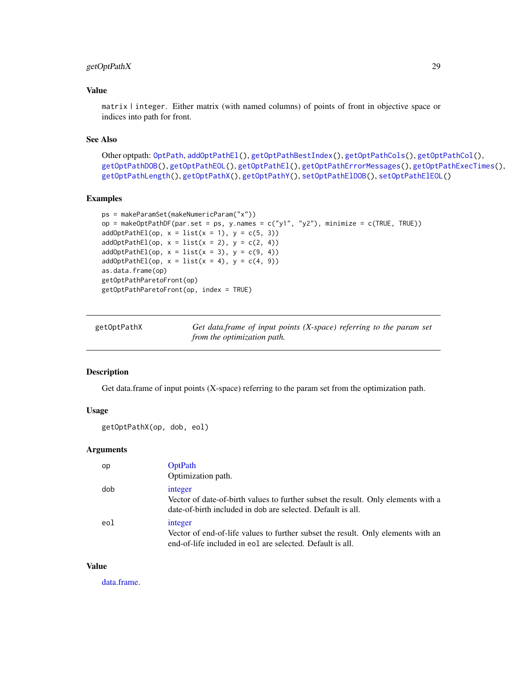# <span id="page-28-0"></span>getOptPathX 29

# Value

matrix | integer. Either matrix (with named columns) of points of front in objective space or indices into path for front.

# See Also

```
Other optpath: OptPath, addOptPathEl(), getOptPathBestIndex(), getOptPathCols(), getOptPathCol(),
getOptPathDOB(), getOptPathEOL(), getOptPathEl(), getOptPathErrorMessages(), getOptPathExecTimes(),
getOptPathLength(), getOptPathX(), getOptPathY(), setOptPathElDOB(), setOptPathElEOL()
```
# Examples

```
ps = makeParamSet(makeNumericParam("x"))
op = makeOptPathDF(par.set = ps, y.names = c("y1", "y2"), minimize = c(TRUE, TRUE))
addOptPathEl(op, x = list(x = 1), y = c(5, 3))addOptPathEl(op, x = list(x = 2), y = c(2, 4))addOptPathEl(op, x = list(x = 3), y = c(9, 4))addOptPathEl(op, x = list(x = 4), y = c(4, 9))as.data.frame(op)
getOptPathParetoFront(op)
getOptPathParetoFront(op, index = TRUE)
```
<span id="page-28-1"></span>

| getOptPathX | Get data.frame of input points (X-space) referring to the param set |
|-------------|---------------------------------------------------------------------|
|             | from the optimization path.                                         |

#### Description

Get data.frame of input points (X-space) referring to the param set from the optimization path.

#### Usage

```
getOptPathX(op, dob, eol)
```
#### Arguments

| op  | <b>OptPath</b><br>Optimization path.                                                                                                                        |
|-----|-------------------------------------------------------------------------------------------------------------------------------------------------------------|
| dob | integer<br>Vector of date-of-birth values to further subset the result. Only elements with a<br>date-of-birth included in dob are selected. Default is all. |
| eol | integer<br>Vector of end-of-life values to further subset the result. Only elements with an<br>end-of-life included in eol are selected. Default is all.    |

#### Value

[data.frame.](#page-0-0)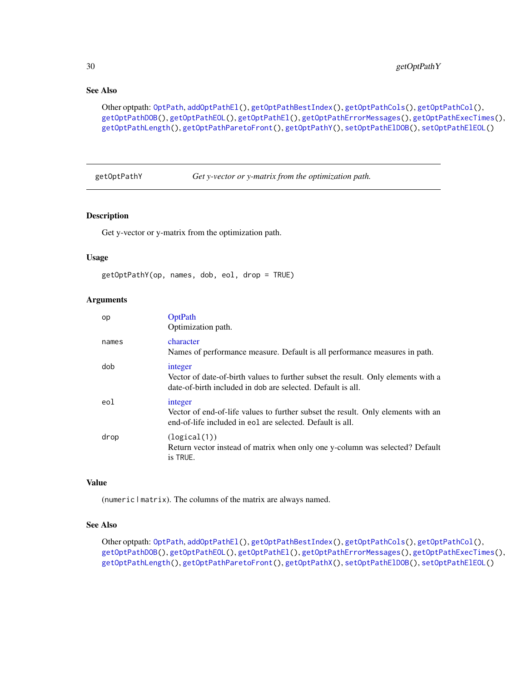# See Also

```
Other optpath: OptPath, addOptPathEl(), getOptPathBestIndex(), getOptPathCols(), getOptPathCol(),
getOptPathDOB(), getOptPathEOL(), getOptPathEl(), getOptPathErrorMessages(), getOptPathExecTimes(),
getOptPathLength(), getOptPathParetoFront(), getOptPathY(), setOptPathElDOB(), setOptPathElEOL()
```
<span id="page-29-1"></span>getOptPathY *Get y-vector or y-matrix from the optimization path.*

#### Description

Get y-vector or y-matrix from the optimization path.

#### Usage

```
getOptPathY(op, names, dob, eol, drop = TRUE)
```
#### **Arguments**

| op    | OptPath<br>Optimization path.                                                                                                                               |
|-------|-------------------------------------------------------------------------------------------------------------------------------------------------------------|
| names | character<br>Names of performance measure. Default is all performance measures in path.                                                                     |
| dob   | integer<br>Vector of date-of-birth values to further subset the result. Only elements with a<br>date-of-birth included in dob are selected. Default is all. |
| eol   | integer<br>Vector of end-of-life values to further subset the result. Only elements with an<br>end-of-life included in eol are selected. Default is all.    |
| drop  | (logical(1))<br>Return vector instead of matrix when only one y-column was selected? Default<br>is TRUE.                                                    |

# Value

(numeric | matrix). The columns of the matrix are always named.

# See Also

Other optpath: [OptPath](#page-49-1), [addOptPathEl\(](#page-2-1)), [getOptPathBestIndex\(](#page-20-1)), [getOptPathCols\(](#page-22-1)), [getOptPathCol\(](#page-21-1)), [getOptPathDOB\(](#page-23-1)), [getOptPathEOL\(](#page-24-1)), [getOptPathEl\(](#page-23-2)), [getOptPathErrorMessages\(](#page-25-1)), [getOptPathExecTimes\(](#page-26-1)), [getOptPathLength\(](#page-26-2)), [getOptPathParetoFront\(](#page-27-1)), [getOptPathX\(](#page-28-1)), [setOptPathElDOB\(](#page-66-1)), [setOptPathElEOL\(](#page-67-1))

<span id="page-29-0"></span>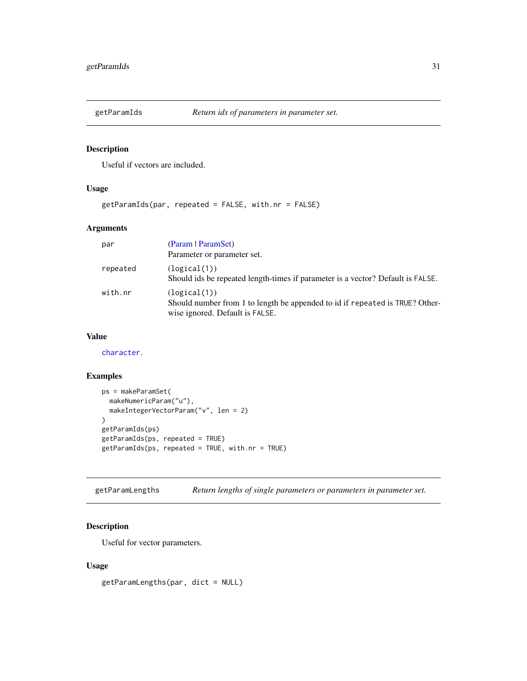<span id="page-30-0"></span>

# Description

Useful if vectors are included.

# Usage

getParamIds(par, repeated = FALSE, with.nr = FALSE)

# Arguments

| par      | (Param   ParamSet)                                                                                                              |
|----------|---------------------------------------------------------------------------------------------------------------------------------|
|          | Parameter or parameter set.                                                                                                     |
| repeated | (logical(1))<br>Should ids be repeated length-times if parameter is a vector? Default is FALSE.                                 |
| with.nr  | (logical(1))<br>Should number from 1 to length be appended to id if repeated is TRUE? Other-<br>wise ignored. Default is FALSE. |

# Value

[character](#page-0-0).

# Examples

```
ps = makeParamSet(
  makeNumericParam("u"),
  makeIntegerVectorParam("v", len = 2)
\lambdagetParamIds(ps)
getParamIds(ps, repeated = TRUE)
getParamIds(ps, repeated = TRUE, with.nr = TRUE)
```
getParamLengths *Return lengths of single parameters or parameters in parameter set.*

# Description

Useful for vector parameters.

# Usage

getParamLengths(par, dict = NULL)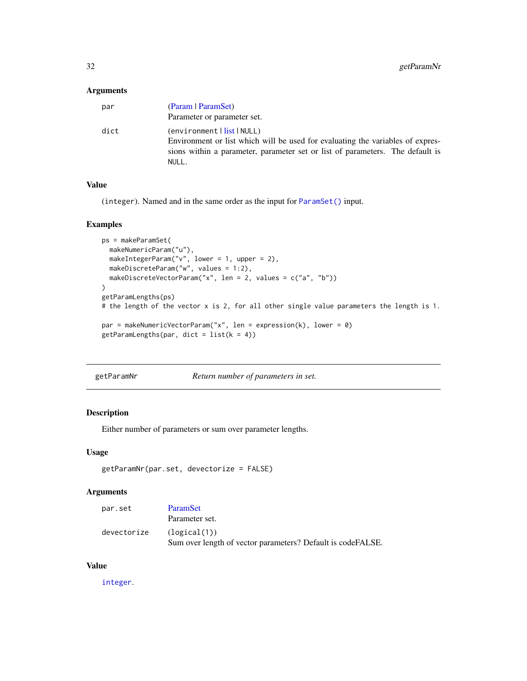<span id="page-31-0"></span>

| par  | (Param   ParamSet)                                                             |
|------|--------------------------------------------------------------------------------|
|      | Parameter or parameter set.                                                    |
| dict | (environment   list   NULL)                                                    |
|      | Environment or list which will be used for evaluating the variables of expres- |
|      | sions within a parameter, parameter set or list of parameters. The default is  |
|      | NULL.                                                                          |

# Value

(integer). Named and in the same order as the input for [ParamSet\(\)](#page-48-1) input.

#### Examples

```
ps = makeParamSet(
  makeNumericParam("u"),
  makeIntegerParam("v", lower = 1, upper = 2),
  makeDiscreteParam("w", values = 1:2),
  makeDiscreteVectorParam("x", len = 2, values = c("a", "b"))
\mathcal{L}getParamLengths(ps)
# the length of the vector x is 2, for all other single value parameters the length is 1.
par = makeNumericVectorParam("x", len = expression(k), lower = 0)
getParamLengths(par, dict = list(k = 4))
```
getParamNr *Return number of parameters in set.*

# Description

Either number of parameters or sum over parameter lengths.

#### Usage

```
getParamNr(par.set, devectorize = FALSE)
```
# Arguments

| par.set     | ParamSet                                                    |
|-------------|-------------------------------------------------------------|
|             | Parameter set.                                              |
| devectorize | (logical(1))                                                |
|             | Sum over length of vector parameters? Default is codeFALSE. |

# Value

[integer](#page-0-0).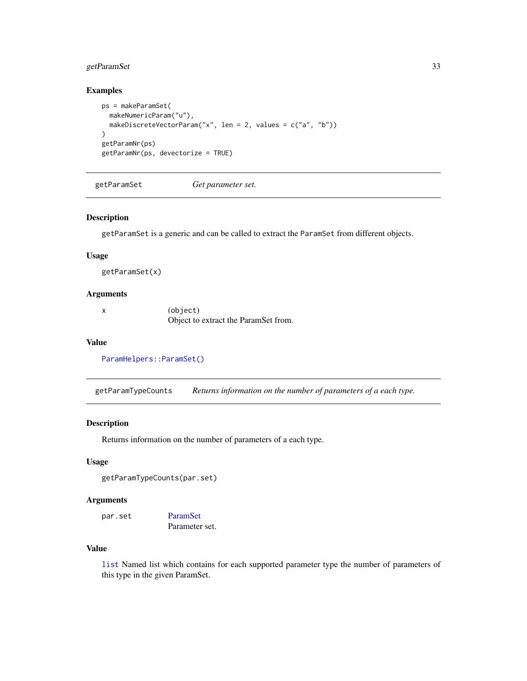# <span id="page-32-0"></span>getParamSet 33

# Examples

```
ps = makeParamSet(
 makeNumericParam("u"),
  makeDiscreteVectorParam("x", len = 2, values = c("a", "b"))
\mathcal{L}getParamNr(ps)
getParamNr(ps, devectorize = TRUE)
```
getParamSet *Get parameter set.*

#### Description

getParamSet is a generic and can be called to extract the ParamSet from different objects.

#### Usage

getParamSet(x)

# Arguments

| (object)                             |
|--------------------------------------|
| Object to extract the ParamSet from. |

#### Value

```
ParamHelpers::ParamSet()
```
getParamTypeCounts *Returns information on the number of parameters of a each type.*

# Description

Returns information on the number of parameters of a each type.

# Usage

```
getParamTypeCounts(par.set)
```
#### Arguments

```
par.set ParamSet
             Parameter set.
```
# Value

[list](#page-0-0) Named list which contains for each supported parameter type the number of parameters of this type in the given ParamSet.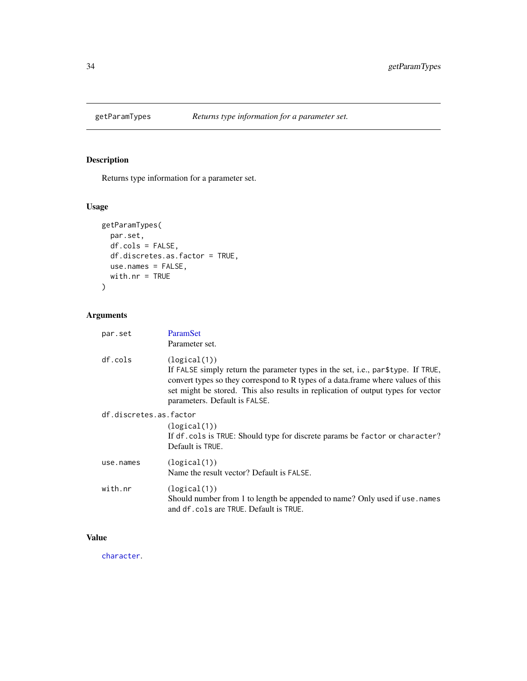<span id="page-33-0"></span>

# Description

Returns type information for a parameter set.

# Usage

```
getParamTypes(
 par.set,
 df.cols = FALSE,
 df.discretes.as.factor = TRUE,
 use.names = FALSE,
 with.nr = TRUE
)
```
# Arguments

| par.set                | <b>ParamSet</b><br>Parameter set.                                                                                                                                                                                                                                                                          |  |
|------------------------|------------------------------------------------------------------------------------------------------------------------------------------------------------------------------------------------------------------------------------------------------------------------------------------------------------|--|
| df.cols                | (logical(1))<br>If FALSE simply return the parameter types in the set, i.e., par\$type. If TRUE,<br>convert types so they correspond to R types of a data. frame where values of this<br>set might be stored. This also results in replication of output types for vector<br>parameters. Default is FALSE. |  |
| df.discretes.as.factor |                                                                                                                                                                                                                                                                                                            |  |
|                        | (logical(1))<br>If df. cols is TRUE: Should type for discrete params be factor or character?<br>Default is TRUE.                                                                                                                                                                                           |  |
| use.names              | (logical(1))<br>Name the result vector? Default is FALSE.                                                                                                                                                                                                                                                  |  |
| with.nr                | (logical(1))<br>Should number from 1 to length be appended to name? Only used if use . names<br>and df. cols are TRUE. Default is TRUE.                                                                                                                                                                    |  |

# Value

[character](#page-0-0).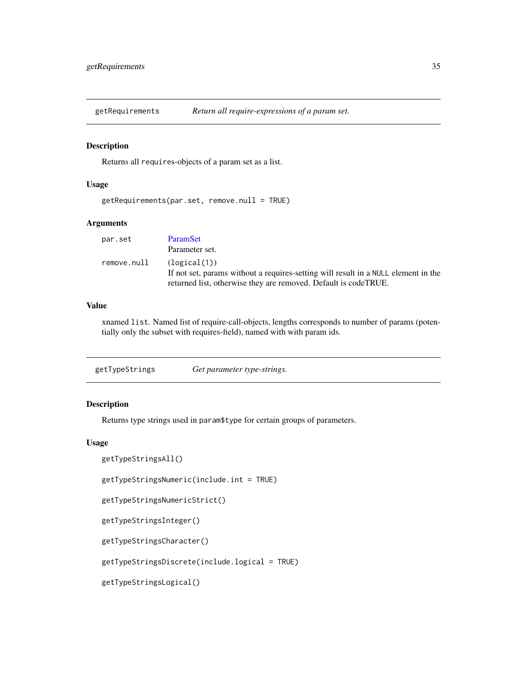<span id="page-34-0"></span>getRequirements *Return all require-expressions of a param set.*

#### Description

Returns all requires-objects of a param set as a list.

# Usage

getRequirements(par.set, remove.null = TRUE)

#### Arguments

| par.set     | ParamSet                                                                           |
|-------------|------------------------------------------------------------------------------------|
|             | Parameter set.                                                                     |
| remove.null | (logical(1))                                                                       |
|             | If not set, params without a requires-setting will result in a NULL element in the |
|             | returned list, otherwise they are removed. Default is codeTRUE.                    |

# Value

xnamed list. Named list of require-call-objects, lengths corresponds to number of params (potentially only the subset with requires-field), named with with param ids.

getTypeStrings *Get parameter type-strings.*

# Description

Returns type strings used in param\$type for certain groups of parameters.

#### Usage

```
getTypeStringsAll()
```
getTypeStringsNumeric(include.int = TRUE)

```
getTypeStringsNumericStrict()
```

```
getTypeStringsInteger()
```
getTypeStringsCharacter()

getTypeStringsDiscrete(include.logical = TRUE)

getTypeStringsLogical()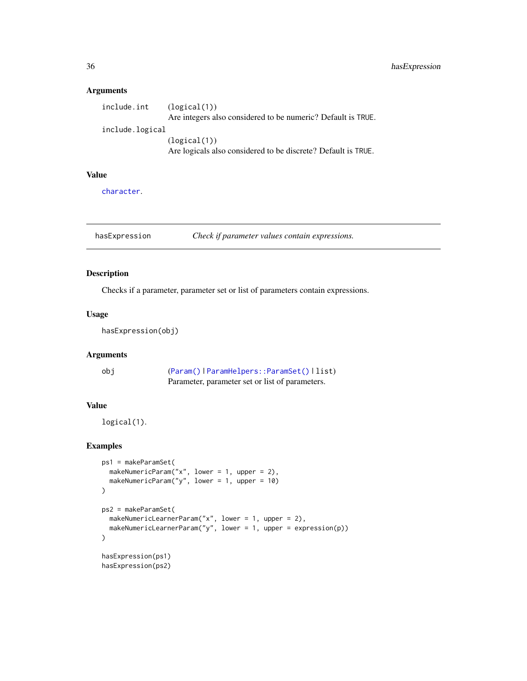| include.int     | (logical(1))                                                  |
|-----------------|---------------------------------------------------------------|
|                 | Are integers also considered to be numeric? Default is TRUE.  |
| include.logical |                                                               |
|                 | (logical(1))                                                  |
|                 | Are logicals also considered to be discrete? Default is TRUE. |

# Value

[character](#page-0-0).

hasExpression *Check if parameter values contain expressions.*

# Description

Checks if a parameter, parameter set or list of parameters contain expressions.

# Usage

```
hasExpression(obj)
```
# Arguments

| obi | (Param()   ParamHelpers:: ParamSet()   list)    |
|-----|-------------------------------------------------|
|     | Parameter, parameter set or list of parameters. |

# Value

logical(1).

# Examples

```
ps1 = makeParamSet(
  makeNumericParam("x", lower = 1, upper = 2),
  makeNumericParam("y", lower = 1, upper = 10)
)
ps2 = makeParamSet(
  makeNumericLearnerParam("x", lower = 1, upper = 2),
  makeNumericLearnerParam("y", lower = 1, upper = expression(p))
\mathcal{L}hasExpression(ps1)
hasExpression(ps2)
```
<span id="page-35-0"></span>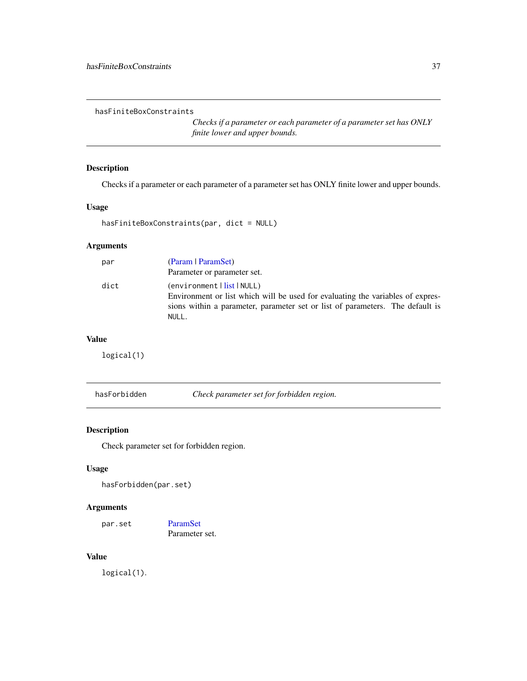hasFiniteBoxConstraints

*Checks if a parameter or each parameter of a parameter set has ONLY finite lower and upper bounds.*

# Description

Checks if a parameter or each parameter of a parameter set has ONLY finite lower and upper bounds.

#### Usage

```
hasFiniteBoxConstraints(par, dict = NULL)
```
# Arguments

| par  | (Param   ParamSet)                                                                                                                                                                                           |
|------|--------------------------------------------------------------------------------------------------------------------------------------------------------------------------------------------------------------|
|      | Parameter or parameter set.                                                                                                                                                                                  |
| dict | (environment  <u>list</u>  NULL)<br>Environment or list which will be used for evaluating the variables of expres-<br>sions within a parameter, parameter set or list of parameters. The default is<br>NULL. |

# Value

logical(1)

hasForbidden *Check parameter set for forbidden region.*

# Description

Check parameter set for forbidden region.

# Usage

hasForbidden(par.set)

# Arguments

par.set [ParamSet](#page-48-0) Parameter set.

#### Value

logical(1).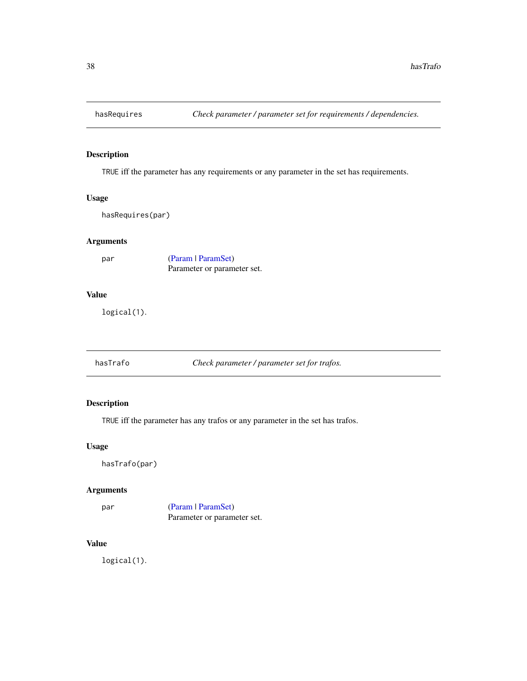# Description

TRUE iff the parameter has any requirements or any parameter in the set has requirements.

# Usage

hasRequires(par)

# Arguments

| par | (Param   ParamSet)          |
|-----|-----------------------------|
|     | Parameter or parameter set. |

# Value

logical(1).

hasTrafo *Check parameter / parameter set for trafos.*

# Description

TRUE iff the parameter has any trafos or any parameter in the set has trafos.

#### Usage

hasTrafo(par)

# Arguments

par [\(Param](#page-51-0) | [ParamSet\)](#page-48-0) Parameter or parameter set.

# Value

logical(1).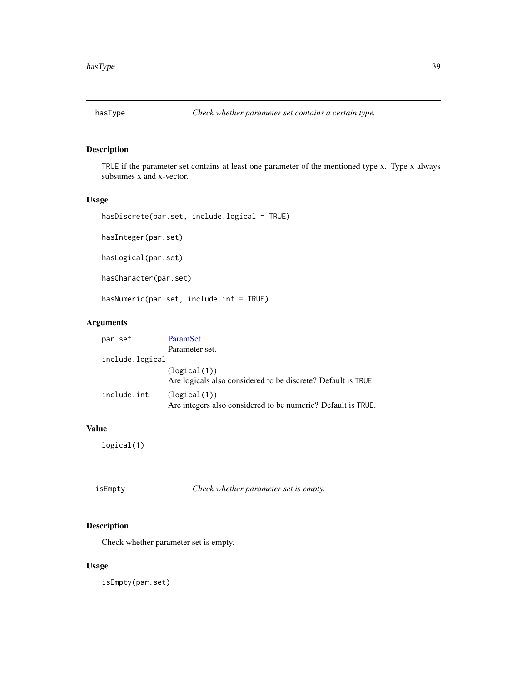# Description

TRUE if the parameter set contains at least one parameter of the mentioned type x. Type x always subsumes x and x-vector.

# Usage

```
hasDiscrete(par.set, include.logical = TRUE)
```
hasInteger(par.set)

hasLogical(par.set)

hasCharacter(par.set)

hasNumeric(par.set, include.int = TRUE)

# Arguments

| par.set         | ParamSet                                                                      |
|-----------------|-------------------------------------------------------------------------------|
|                 | Parameter set.                                                                |
| include.logical |                                                                               |
|                 | (logical(1))<br>Are logicals also considered to be discrete? Default is TRUE. |
| include.int     | (logical(1))<br>Are integers also considered to be numeric? Default is TRUE.  |

# Value

logical(1)

| isEmpty | Check whether parameter set is empty. |
|---------|---------------------------------------|
|         |                                       |

# Description

Check whether parameter set is empty.

# Usage

isEmpty(par.set)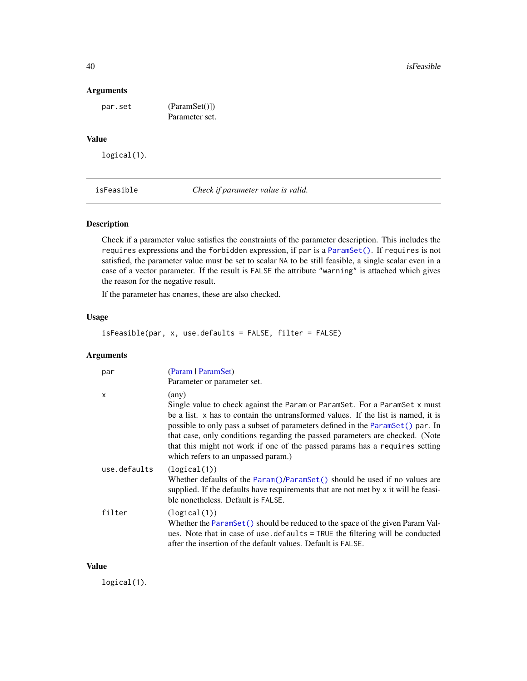#### Arguments

par.set (ParamSet()])

Parameter set.

# Value

logical(1).

isFeasible *Check if parameter value is valid.*

# Description

Check if a parameter value satisfies the constraints of the parameter description. This includes the requires expressions and the forbidden expression, if par is a [ParamSet\(\)](#page-48-0). If requires is not satisfied, the parameter value must be set to scalar NA to be still feasible, a single scalar even in a case of a vector parameter. If the result is FALSE the attribute "warning" is attached which gives the reason for the negative result.

If the parameter has cnames, these are also checked.

# Usage

isFeasible(par, x, use.defaults = FALSE, filter = FALSE)

# Arguments

| par          | (Param   ParamSet)<br>Parameter or parameter set.                                                                                                                                                                                                                                                                                                                                                                                                                  |
|--------------|--------------------------------------------------------------------------------------------------------------------------------------------------------------------------------------------------------------------------------------------------------------------------------------------------------------------------------------------------------------------------------------------------------------------------------------------------------------------|
| X            | (any)<br>Single value to check against the Param or ParamSet. For a ParamSet x must<br>be a list. x has to contain the untransformed values. If the list is named, it is<br>possible to only pass a subset of parameters defined in the ParamSet () par. In<br>that case, only conditions regarding the passed parameters are checked. (Note<br>that this might not work if one of the passed params has a requires setting<br>which refers to an unpassed param.) |
| use.defaults | (logical(1))<br>Whether defaults of the Param()/ParamSet() should be used if no values are<br>supplied. If the defaults have requirements that are not met by x it will be feasi-<br>ble nonetheless. Default is FALSE.                                                                                                                                                                                                                                            |
| filter       | (logical(1))<br>Whether the ParamSet () should be reduced to the space of the given Param Val-<br>ues. Note that in case of use defaults = TRUE the filtering will be conducted<br>after the insertion of the default values. Default is FALSE.                                                                                                                                                                                                                    |

#### Value

logical(1).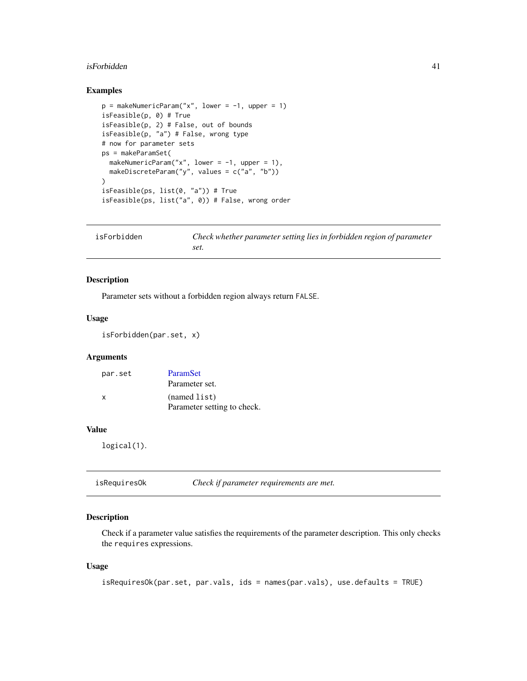#### isForbidden 41

# Examples

```
p = makeNumericParam("x", lower = -1, upper = 1)
isFeasible(p, 0) # True
isFeasible(p, 2) # False, out of bounds
isFeasible(p, "a") # False, wrong type
# now for parameter sets
ps = makeParamSet(
  makeNumericParam("x", lower = -1, upper = 1),
  makeDiscreteParam("y", values = c("a", "b"))
)
isFeasible(ps, list(0, "a")) # True
isFeasible(ps, list("a", 0)) # False, wrong order
```

| isForbidden | Check whether parameter setting lies in forbidden region of parameter |
|-------------|-----------------------------------------------------------------------|
|             | set.                                                                  |

# Description

Parameter sets without a forbidden region always return FALSE.

# Usage

```
isForbidden(par.set, x)
```
# Arguments

| par.set | ParamSet                    |
|---------|-----------------------------|
|         | Parameter set.              |
| x       | (named list)                |
|         | Parameter setting to check. |

#### Value

logical(1).

| isRequiresOk<br>Check if parameter requirements are met. |  |
|----------------------------------------------------------|--|
|----------------------------------------------------------|--|

# Description

Check if a parameter value satisfies the requirements of the parameter description. This only checks the requires expressions.

#### Usage

```
isRequiresOk(par.set, par.vals, ids = names(par.vals), use.defaults = TRUE)
```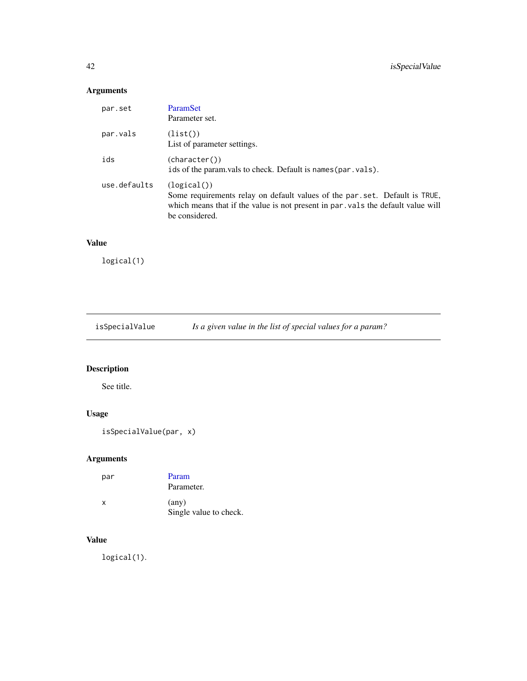# Arguments

| par.set      | <b>ParamSet</b><br>Parameter set.                                                                                                                                                             |
|--------------|-----------------------------------------------------------------------------------------------------------------------------------------------------------------------------------------------|
| par.vals     | (list()<br>List of parameter settings.                                                                                                                                                        |
| ids          | (character())<br>ids of the param vals to check. Default is names (par. vals).                                                                                                                |
| use.defaults | (logical()<br>Some requirements relay on default values of the par set. Default is TRUE,<br>which means that if the value is not present in par vals the default value will<br>be considered. |

# Value

logical(1)

isSpecialValue *Is a given value in the list of special values for a param?*

# Description

See title.

# Usage

```
isSpecialValue(par, x)
```
# Arguments

| par | Param<br>Parameter.                      |
|-----|------------------------------------------|
| x   | $(\text{any})$<br>Single value to check. |

# Value

logical(1).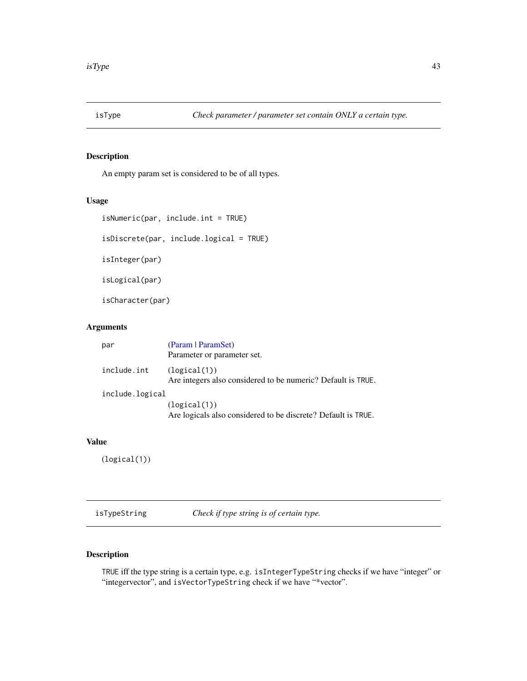# Description

An empty param set is considered to be of all types.

# Usage

```
isNumeric(par, include.int = TRUE)
```
isDiscrete(par, include.logical = TRUE)

isInteger(par)

isLogical(par)

isCharacter(par)

# Arguments

| par             | (Param   ParamSet)<br>Parameter or parameter set.                             |
|-----------------|-------------------------------------------------------------------------------|
| include.int     | (logical(1))<br>Are integers also considered to be numeric? Default is TRUE.  |
| include.logical |                                                                               |
|                 | (logical(1))<br>Are logicals also considered to be discrete? Default is TRUE. |

# Value

(logical(1))

isTypeString *Check if type string is of certain type.*

# Description

TRUE iff the type string is a certain type, e.g. isIntegerTypeString checks if we have "integer" or "integervector", and isVectorTypeString check if we have "\*vector".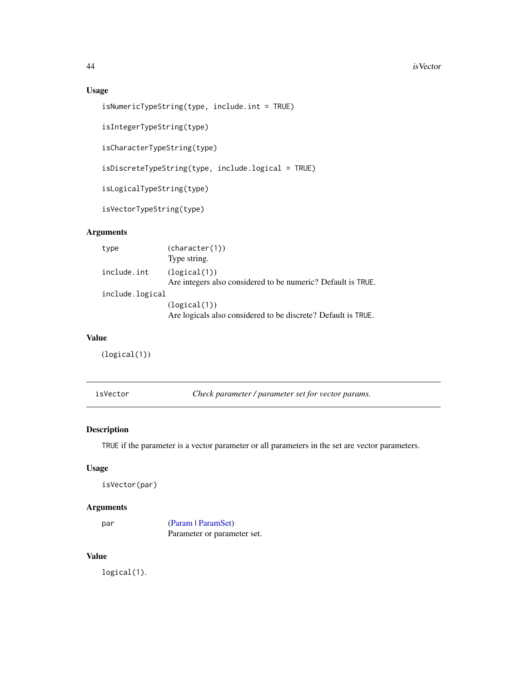# Usage

```
isNumericTypeString(type, include.int = TRUE)
```
isIntegerTypeString(type)

isCharacterTypeString(type)

isDiscreteTypeString(type, include.logical = TRUE)

isLogicalTypeString(type)

isVectorTypeString(type)

# Arguments

| type            | (character(1))                                                |
|-----------------|---------------------------------------------------------------|
|                 | Type string.                                                  |
| include.int     | (logical(1))                                                  |
|                 | Are integers also considered to be numeric? Default is TRUE.  |
| include.logical |                                                               |
|                 | (logical(1))                                                  |
|                 | Are logicals also considered to be discrete? Default is TRUE. |

#### Value

(logical(1))

isVector *Check parameter / parameter set for vector params.*

# Description

TRUE if the parameter is a vector parameter or all parameters in the set are vector parameters.

# Usage

isVector(par)

# Arguments

par [\(Param](#page-51-0) | [ParamSet\)](#page-48-0) Parameter or parameter set.

# Value

logical(1).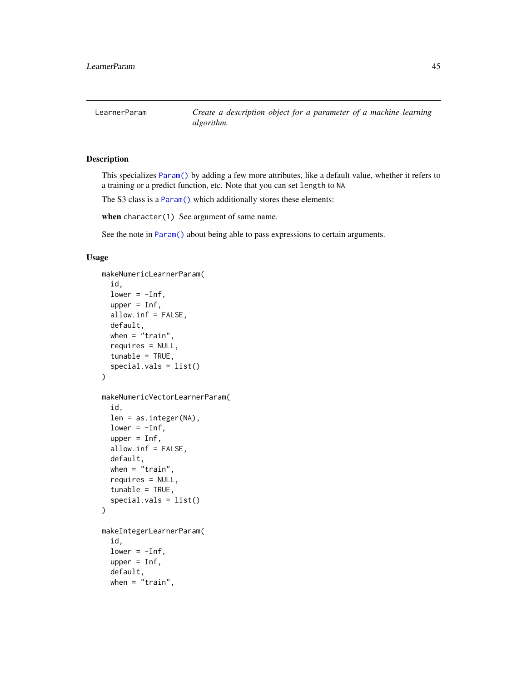<span id="page-44-0"></span>LearnerParam *Create a description object for a parameter of a machine learning algorithm.*

#### Description

This specializes [Param\(\)](#page-51-0) by adding a few more attributes, like a default value, whether it refers to a training or a predict function, etc. Note that you can set length to NA

The S3 class is a [Param\(\)](#page-51-0) which additionally stores these elements:

when character(1) See argument of same name.

See the note in [Param\(\)](#page-51-0) about being able to pass expressions to certain arguments.

#### Usage

```
makeNumericLearnerParam(
  id,
  lower = -Inf,upper = Inf,allow.inf = FALSE,
  default,
  when = "train",requires = NULL,
  tunable = TRUE,
  special.values = list())
makeNumericVectorLearnerParam(
  id,
  len = as.integer(NA),
  lower = -Inf,upper = Inf,
  allow.inf = FALSE,
  default,
 when = "train",requires = NULL,
  tunable = TRUE,
  special.vals = list()
)
makeIntegerLearnerParam(
  id,
  lower = -Inf,upper = Inf,default,
 when = "train",
```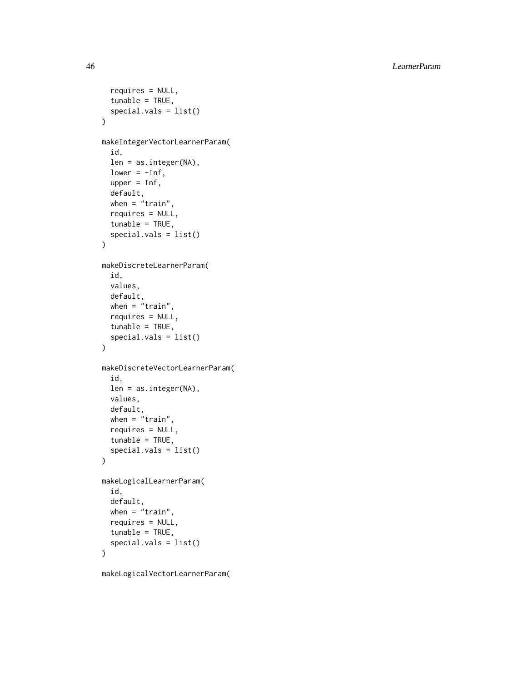46 LearnerParam

```
requires = NULL,
  tunable = TRUE,
  special.vals = list()
\lambdamakeIntegerVectorLearnerParam(
  id,
  len = as.integer(NA),
  lower = -Inf,upper = Inf,
  default,
  when = "train",requires = NULL,
  tunable = TRUE,
  special.vals = list()
)
makeDiscreteLearnerParam(
  id,
  values,
  default,
 when = "train",requires = NULL,
  tunable = TRUE,
  special.vals = list()
\mathcal{L}makeDiscreteVectorLearnerParam(
  id,
  len = as.integer(NA),
  values,
  default,
 when = "train",requires = NULL,
  tunable = TRUE,
  special.vals = list()
\lambdamakeLogicalLearnerParam(
  id,
  default,
 when = "train",requires = NULL,
  tunable = TRUE,
  special.vals = list()
)
makeLogicalVectorLearnerParam(
```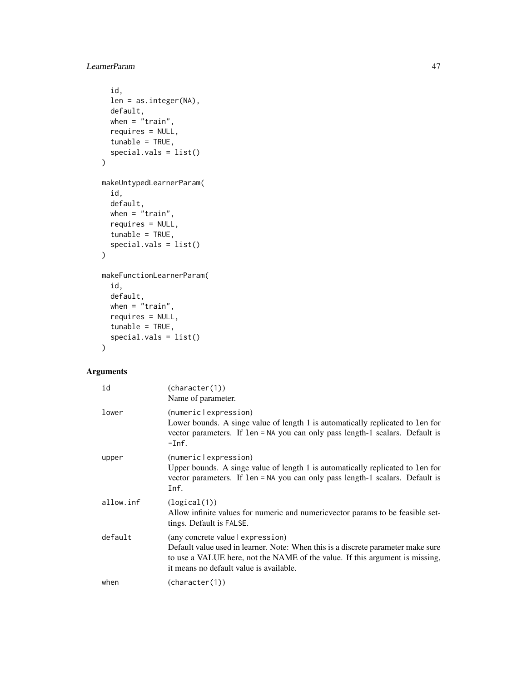```
id,
  len = as.integer(NA),
 default,
 when = "train",requires = NULL,
  tunable = TRUE,
  special.vals = list()
\mathcal{L}makeUntypedLearnerParam(
  id,
  default,
 when = "train",requires = NULL,
 tunable = TRUE,
  special.vals = list()
\mathcal{L}makeFunctionLearnerParam(
  id,
 default,
 when = "train",requires = NULL,
  tunable = TRUE,
  special.vals = list()
\mathcal{L}
```

| id        | (character(1))<br>Name of parameter.                                                                                                                                                                                                             |
|-----------|--------------------------------------------------------------------------------------------------------------------------------------------------------------------------------------------------------------------------------------------------|
| lower     | (numericlexpression)<br>Lower bounds. A singe value of length 1 is automatically replicated to len for<br>vector parameters. If $len = NA$ you can only pass length-1 scalars. Default is<br>$-Inf.$                                             |
| upper     | (numericlexpression)<br>Upper bounds. A singe value of length 1 is automatically replicated to len for<br>vector parameters. If len = NA you can only pass length-1 scalars. Default is<br>Inf.                                                  |
| allow.inf | (logical(1))<br>Allow infinite values for numeric and numeric vector params to be feasible set-<br>tings. Default is FALSE.                                                                                                                      |
| default   | (any concrete value   expression)<br>Default value used in learner. Note: When this is a discrete parameter make sure<br>to use a VALUE here, not the NAME of the value. If this argument is missing,<br>it means no default value is available. |
| when      | (character(1))                                                                                                                                                                                                                                   |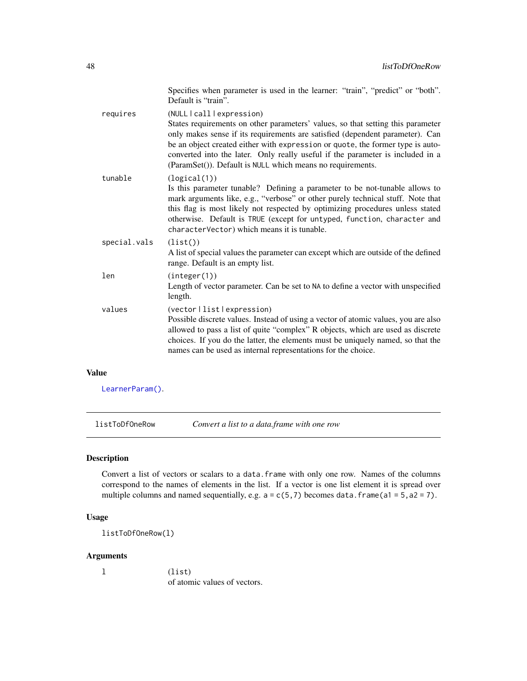|              | Specifies when parameter is used in the learner: "train", "predict" or "both".<br>Default is "train".                                                                                                                                                                                                                                                                                                                            |
|--------------|----------------------------------------------------------------------------------------------------------------------------------------------------------------------------------------------------------------------------------------------------------------------------------------------------------------------------------------------------------------------------------------------------------------------------------|
| requires     | (NULL   call   expression)<br>States requirements on other parameters' values, so that setting this parameter<br>only makes sense if its requirements are satisfied (dependent parameter). Can<br>be an object created either with expression or quote, the former type is auto-<br>converted into the later. Only really useful if the parameter is included in a<br>(ParamSet()). Default is NULL which means no requirements. |
| tunable      | (logical(1))<br>Is this parameter tunable? Defining a parameter to be not-tunable allows to<br>mark arguments like, e.g., "verbose" or other purely technical stuff. Note that<br>this flag is most likely not respected by optimizing procedures unless stated<br>otherwise. Default is TRUE (except for untyped, function, character and<br>characterVector) which means it is tunable.                                        |
| special.vals | (list()<br>A list of special values the parameter can except which are outside of the defined<br>range. Default is an empty list.                                                                                                                                                                                                                                                                                                |
| len          | (integer(1))<br>Length of vector parameter. Can be set to NA to define a vector with unspecified<br>length.                                                                                                                                                                                                                                                                                                                      |
| values       | (vector   list   expression)<br>Possible discrete values. Instead of using a vector of atomic values, you are also<br>allowed to pass a list of quite "complex" R objects, which are used as discrete<br>choices. If you do the latter, the elements must be uniquely named, so that the<br>names can be used as internal representations for the choice.                                                                        |

# Value

[LearnerParam\(\)](#page-44-0).

listToDfOneRow *Convert a list to a data.frame with one row*

# Description

Convert a list of vectors or scalars to a data.frame with only one row. Names of the columns correspond to the names of elements in the list. If a vector is one list element it is spread over multiple columns and named sequentially, e.g.  $a = c(5,7)$  becomes data.frame(a1 = 5, a2 = 7).

# Usage

listToDfOneRow(l)

# Arguments

l (list) of atomic values of vectors.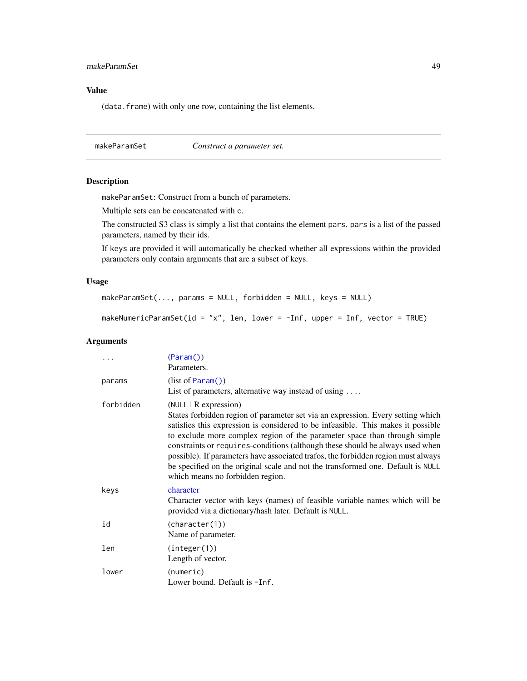# <span id="page-48-1"></span>makeParamSet 49

# Value

(data.frame) with only one row, containing the list elements.

makeParamSet *Construct a parameter set.*

#### <span id="page-48-0"></span>Description

makeParamSet: Construct from a bunch of parameters.

Multiple sets can be concatenated with c.

The constructed S3 class is simply a list that contains the element pars. pars is a list of the passed parameters, named by their ids.

If keys are provided it will automatically be checked whether all expressions within the provided parameters only contain arguments that are a subset of keys.

#### Usage

```
makeParamSet(..., params = NULL, forbidden = NULL, keys = NULL)
```
makeNumericParamSet(id = "x", len, lower = -Inf, upper = Inf, vector = TRUE)

|           | (Param() )<br>Parameters.                                                                                                                                                                                                                                                                                                                                                                                                                                                                                                                                              |
|-----------|------------------------------------------------------------------------------------------------------------------------------------------------------------------------------------------------------------------------------------------------------------------------------------------------------------------------------------------------------------------------------------------------------------------------------------------------------------------------------------------------------------------------------------------------------------------------|
| params    | (list of Param() )<br>List of parameters, alternative way instead of using $\dots$                                                                                                                                                                                                                                                                                                                                                                                                                                                                                     |
| forbidden | (NULL   R expression)<br>States forbidden region of parameter set via an expression. Every setting which<br>satisfies this expression is considered to be infeasible. This makes it possible<br>to exclude more complex region of the parameter space than through simple<br>constraints or requires-conditions (although these should be always used when<br>possible). If parameters have associated trafos, the forbidden region must always<br>be specified on the original scale and not the transformed one. Default is NULL<br>which means no forbidden region. |
| keys      | character<br>Character vector with keys (names) of feasible variable names which will be<br>provided via a dictionary/hash later. Default is NULL.                                                                                                                                                                                                                                                                                                                                                                                                                     |
| id        | (character(1))<br>Name of parameter.                                                                                                                                                                                                                                                                                                                                                                                                                                                                                                                                   |
| len       | (integer(1))<br>Length of vector.                                                                                                                                                                                                                                                                                                                                                                                                                                                                                                                                      |
| lower     | (numeric)<br>Lower bound. Default is -Inf.                                                                                                                                                                                                                                                                                                                                                                                                                                                                                                                             |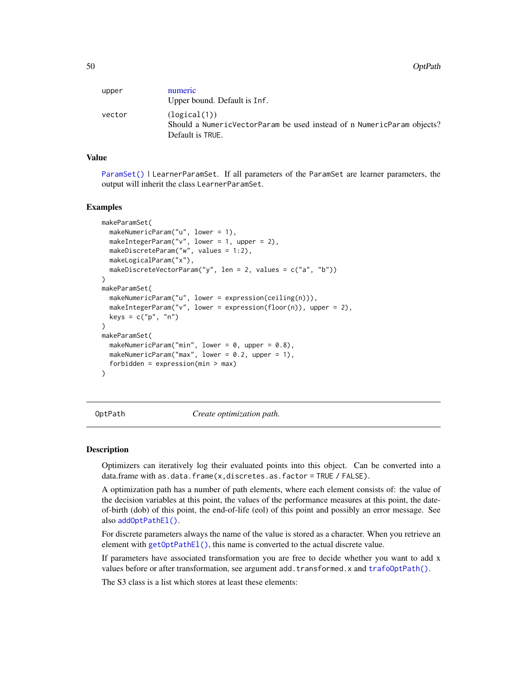<span id="page-49-1"></span>50 OptPath

| upper  | numeric<br>Upper bound. Default is Inf.                                                                    |
|--------|------------------------------------------------------------------------------------------------------------|
| vector | (logical(1))<br>Should a NumericVectorParam be used instead of n NumericParam objects?<br>Default is TRUE. |

#### Value

[ParamSet\(\)](#page-48-0) | LearnerParamSet. If all parameters of the ParamSet are learner parameters, the output will inherit the class LearnerParamSet.

#### Examples

```
makeParamSet(
 makeNumericParam("u", lower = 1),
 makeIntegerParam("v", lower = 1, upper = 2),
 makeDiscreteParam("w", values = 1:2),
 makeLogicalParam("x"),
 makeDiscreteVectorParam("y", len = 2, values = c("a", "b"))
)
makeParamSet(
 makeNumericParam("u", lower = expression(ceiling(n))),
 makeIntegerParam("v", lower = expression(floor(n)), upper = 2),
 keys = c("p", "n"))
makeParamSet(
 makeNumericParam("min", lower = 0, upper = 0.8),
 makeNumericParam("max", lower = 0.2, upper = 1),
 forbidden = expression(min > max)
)
```
<span id="page-49-0"></span>OptPath *Create optimization path.*

#### Description

Optimizers can iteratively log their evaluated points into this object. Can be converted into a data.frame with as.data.frame(x,discretes.as.factor = TRUE / FALSE).

A optimization path has a number of path elements, where each element consists of: the value of the decision variables at this point, the values of the performance measures at this point, the dateof-birth (dob) of this point, the end-of-life (eol) of this point and possibly an error message. See also [addOptPathEl\(\)](#page-2-0).

For discrete parameters always the name of the value is stored as a character. When you retrieve an element with  $getOptPathE1()$ , this name is converted to the actual discrete value.

If parameters have associated transformation you are free to decide whether you want to add x values before or after transformation, see argument add.transformed.x and trafo0ptPath().

The S3 class is a list which stores at least these elements: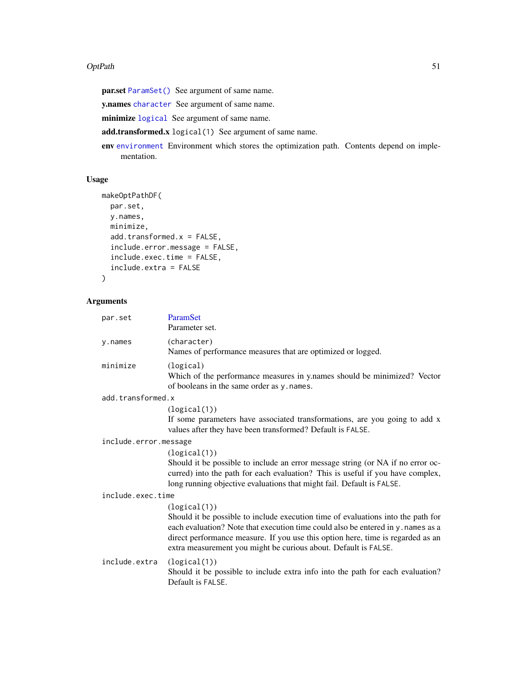#### <span id="page-50-0"></span>OptPath 51

par.set [ParamSet\(\)](#page-48-0) See argument of same name.

y.names [character](#page-0-0) See argument of same name.

minimize [logical](#page-0-0) See argument of same name.

add.transformed.x logical(1) See argument of same name.

env [environment](#page-0-0) Environment which stores the optimization path. Contents depend on implementation.

# Usage

```
makeOptPathDF(
 par.set,
 y.names,
 minimize,
  add.transformed.x = FALSE,
  include.error.message = FALSE,
  include.exec.time = FALSE,
  include.extra = FALSE
)
```

| par.set               | ParamSet<br>Parameter set.                                                                                                                                                                                                                                                                                                                 |
|-----------------------|--------------------------------------------------------------------------------------------------------------------------------------------------------------------------------------------------------------------------------------------------------------------------------------------------------------------------------------------|
| y.names               | (character)<br>Names of performance measures that are optimized or logged.                                                                                                                                                                                                                                                                 |
| minimize              | (logical)<br>Which of the performance measures in y.names should be minimized? Vector<br>of booleans in the same order as y. names.                                                                                                                                                                                                        |
| add.transformed.x     |                                                                                                                                                                                                                                                                                                                                            |
|                       | (logical(1))<br>If some parameters have associated transformations, are you going to add x<br>values after they have been transformed? Default is FALSE.                                                                                                                                                                                   |
| include.error.message |                                                                                                                                                                                                                                                                                                                                            |
|                       | (logical(1))<br>Should it be possible to include an error message string (or NA if no error oc-<br>curred) into the path for each evaluation? This is useful if you have complex,<br>long running objective evaluations that might fail. Default is FALSE.                                                                                 |
| include.exec.time     |                                                                                                                                                                                                                                                                                                                                            |
|                       | (logical(1))<br>Should it be possible to include execution time of evaluations into the path for<br>each evaluation? Note that execution time could also be entered in y. names as a<br>direct performance measure. If you use this option here, time is regarded as an<br>extra measurement you might be curious about. Default is FALSE. |
| include.extra         | (logical(1))<br>Should it be possible to include extra info into the path for each evaluation?<br>Default is FALSE.                                                                                                                                                                                                                        |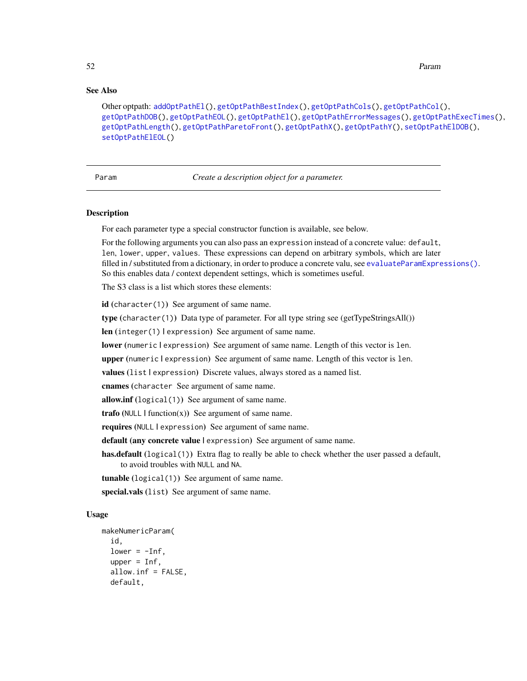# <span id="page-51-1"></span>See Also

```
Other optpath: addOptPathEl(), getOptPathBestIndex(), getOptPathCols(), getOptPathCol(),
getOptPathDOB(), getOptPathEOL(), getOptPathEl(), getOptPathErrorMessages(), getOptPathExecTimes(),
getOptPathLength(), getOptPathParetoFront(), getOptPathX(), getOptPathY(), setOptPathElDOB(),
setOptPathElEOL()
```
<span id="page-51-0"></span>Param *Create a description object for a parameter.*

#### Description

For each parameter type a special constructor function is available, see below.

For the following arguments you can also pass an expression instead of a concrete value: default, len, lower, upper, values. These expressions can depend on arbitrary symbols, which are later filled in / substituted from a dictionary, in order to produce a concrete valu, see [evaluateParamExpressions\(\)](#page-9-0). So this enables data / context dependent settings, which is sometimes useful.

The S3 class is a list which stores these elements:

id (character(1)) See argument of same name.

type (character(1)) Data type of parameter. For all type string see (getTypeStringsAll())

len (integer(1) lexpression) See argument of same name.

lower (numeric lexpression) See argument of same name. Length of this vector is len.

upper (numeric lexpression) See argument of same name. Length of this vector is len.

values (list | expression) Discrete values, always stored as a named list.

cnames (character See argument of same name.

allow.inf (logical(1)) See argument of same name.

**trafo** (NULL  $|$  function(x)) See argument of same name.

requires (NULL | expression) See argument of same name.

default (any concrete value | expression) See argument of same name.

has.default (logical(1)) Extra flag to really be able to check whether the user passed a default, to avoid troubles with NULL and NA.

tunable (logical(1)) See argument of same name.

special.vals (list) See argument of same name.

### Usage

```
makeNumericParam(
  id,
  lower = -Inf,upper = Inf,allow.inf = FALSE,
  default,
```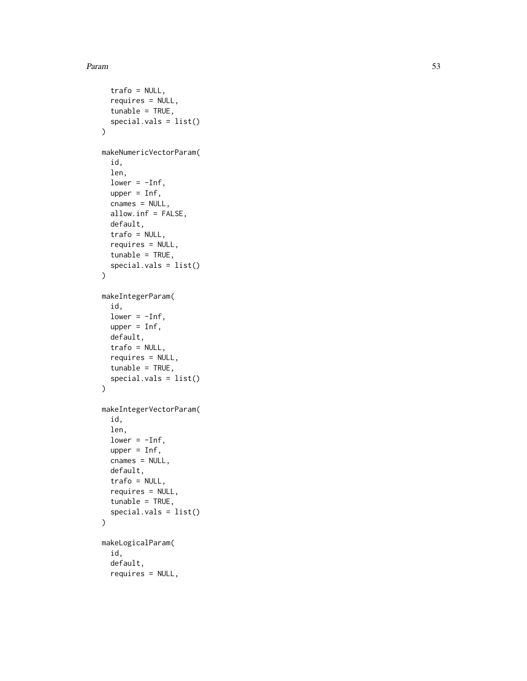#### Param 53

```
trafo = NULL,
  requires = NULL,
  tunable = TRUE,
  special.vals = list()
\mathcal{L}makeNumericVectorParam(
  id,
  len,
  lower = -Inf,upper = Inf,cnames = NULL,
  allow.inf = FALSE,
  default,
  trafo = NULL,
  requires = NULL,
  tunable = TRUE,
  special.vals = list()
\mathcal{L}makeIntegerParam(
  id,
  lower = -Inf,upper = Inf,default,
  trafo = NULL,
  requires = NULL,
  tunable = TRUE,
  special.vals = list()
\mathcal{L}makeIntegerVectorParam(
  id,
  len,
  lower = -Inf,upper = Inf,
  cnames = NULL,
  default,
  trafo = NULL,
  requires = NULL,
  tunable = TRUE,
  special.vals = list()
)
makeLogicalParam(
  id,
  default,
  requires = NULL,
```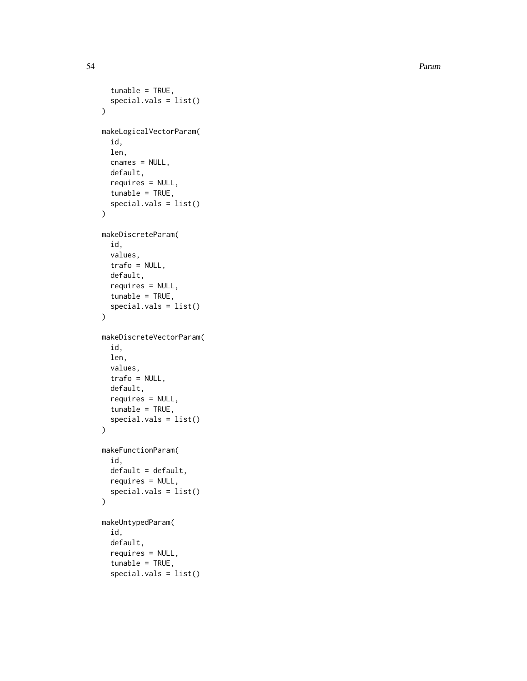54 Param

```
tunable = TRUE,
  special.vals = list()
\lambdamakeLogicalVectorParam(
  id,
  len,
  cnames = NULL,
  default,
  requires = NULL,
  tunable = TRUE,
  special.vals = list()
)
makeDiscreteParam(
  id,
  values,
  trafo = NULL,
 default,
  requires = NULL,
  tunable = TRUE,
  special.vals = list()
\mathcal{L}makeDiscreteVectorParam(
  id,
  len,
 values,
  trafo = NULL,
  default,
  requires = NULL,
  tunable = TRUE,
  special.vals = list()
\mathcal{L}makeFunctionParam(
  id,
  default = default,requires = NULL,
  special.vals = list()
\mathcal{L}makeUntypedParam(
  id,
  default,
  requires = NULL,
  tunable = TRUE,
  special.vals = list()
```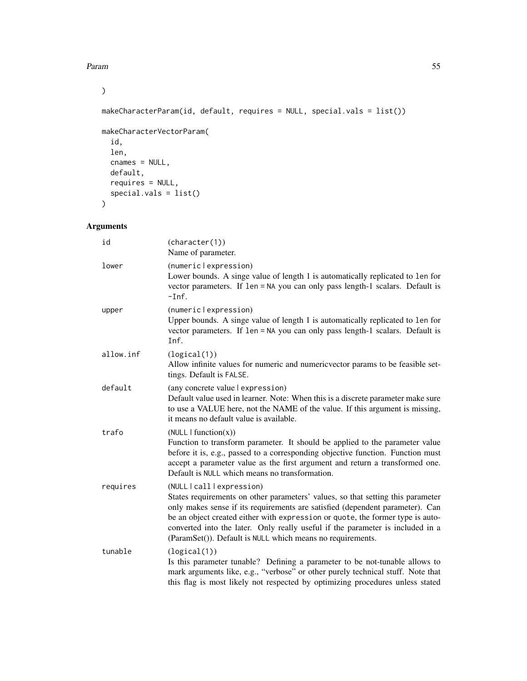Param 55

 $\mathcal{L}$ 

makeCharacterParam(id, default, requires = NULL, special.vals = list())

```
makeCharacterVectorParam(
 id,
 len,
 cnames = NULL,
 default,
 requires = NULL,
 special.vals = list()
\mathcal{L}
```

| id        | (character(1))<br>Name of parameter.                                                                                                                                                                                                                                                                                                                                                                                         |
|-----------|------------------------------------------------------------------------------------------------------------------------------------------------------------------------------------------------------------------------------------------------------------------------------------------------------------------------------------------------------------------------------------------------------------------------------|
| lower     | (numericlexpression)<br>Lower bounds. A singe value of length 1 is automatically replicated to len for<br>vector parameters. If len = NA you can only pass length-1 scalars. Default is<br>$-Inf.$                                                                                                                                                                                                                           |
| upper     | (numericlexpression)<br>Upper bounds. A singe value of length 1 is automatically replicated to len for<br>vector parameters. If len = NA you can only pass length-1 scalars. Default is<br>Inf.                                                                                                                                                                                                                              |
| allow.inf | (logical(1))<br>Allow infinite values for numeric and numericvector params to be feasible set-<br>tings. Default is FALSE.                                                                                                                                                                                                                                                                                                   |
| default   | (any concrete value   expression)<br>Default value used in learner. Note: When this is a discrete parameter make sure<br>to use a VALUE here, not the NAME of the value. If this argument is missing,<br>it means no default value is available.                                                                                                                                                                             |
| trafo     | (NULL   function(x))<br>Function to transform parameter. It should be applied to the parameter value<br>before it is, e.g., passed to a corresponding objective function. Function must<br>accept a parameter value as the first argument and return a transformed one.<br>Default is NULL which means no transformation.                                                                                                    |
| requires  | (NULL call expression)<br>States requirements on other parameters' values, so that setting this parameter<br>only makes sense if its requirements are satisfied (dependent parameter). Can<br>be an object created either with expression or quote, the former type is auto-<br>converted into the later. Only really useful if the parameter is included in a<br>(ParamSet()). Default is NULL which means no requirements. |
| tunable   | (logical(1))<br>Is this parameter tunable? Defining a parameter to be not-tunable allows to<br>mark arguments like, e.g., "verbose" or other purely technical stuff. Note that<br>this flag is most likely not respected by optimizing procedures unless stated                                                                                                                                                              |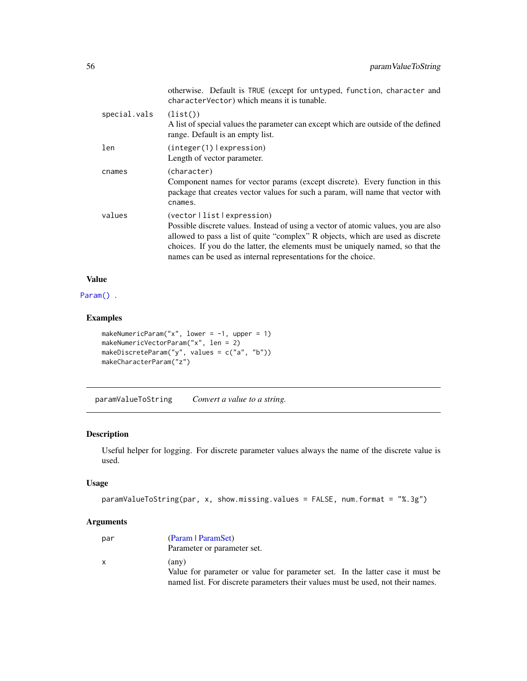|              | otherwise. Default is TRUE (except for untyped, function, character and<br>characterVector) which means it is tunable.                                                                                                                                                                                                                                    |
|--------------|-----------------------------------------------------------------------------------------------------------------------------------------------------------------------------------------------------------------------------------------------------------------------------------------------------------------------------------------------------------|
| special.vals | (list()<br>A list of special values the parameter can except which are outside of the defined<br>range. Default is an empty list.                                                                                                                                                                                                                         |
| len          | (integer(1)   expression)<br>Length of vector parameter.                                                                                                                                                                                                                                                                                                  |
| cnames       | (character)<br>Component names for vector params (except discrete). Every function in this<br>package that creates vector values for such a param, will name that vector with<br>cnames.                                                                                                                                                                  |
| values       | (vector   list   expression)<br>Possible discrete values. Instead of using a vector of atomic values, you are also<br>allowed to pass a list of quite "complex" R objects, which are used as discrete<br>choices. If you do the latter, the elements must be uniquely named, so that the<br>names can be used as internal representations for the choice. |

# Value

[Param\(\)](#page-51-0).

# Examples

```
makeNumericParam("x", lower = -1, upper = 1)
makeNumericVectorParam("x", len = 2)
makeDiscreteParam("y", values = c("a", "b"))
makeCharacterParam("z")
```
paramValueToString *Convert a value to a string.*

# Description

Useful helper for logging. For discrete parameter values always the name of the discrete value is used.

#### Usage

```
paramValueToString(par, x, show.missing.values = FALSE, num.format = "%.3g")
```

| par | (Param   ParamSet)                                                              |
|-----|---------------------------------------------------------------------------------|
|     | Parameter or parameter set.                                                     |
| X.  | (anv)                                                                           |
|     | Value for parameter or value for parameter set. In the latter case it must be   |
|     | named list. For discrete parameters their values must be used, not their names. |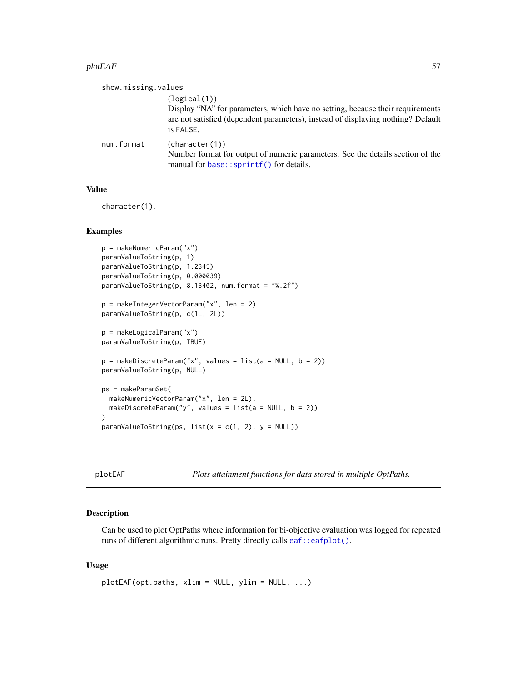#### <span id="page-56-0"></span> $p$ lot $EAF$  57

| show.missing.values |                                                                                                                                                                                                 |
|---------------------|-------------------------------------------------------------------------------------------------------------------------------------------------------------------------------------------------|
|                     | (logical(1))<br>Display "NA" for parameters, which have no setting, because their requirements<br>are not satisfied (dependent parameters), instead of displaying nothing? Default<br>is FALSE. |
| num.format          | (character(1))<br>Number format for output of numeric parameters. See the details section of the<br>manual for base::sprintf() for details.                                                     |

# Value

character(1).

# Examples

```
p = makeNumericParam("x")
paramValueToString(p, 1)
paramValueToString(p, 1.2345)
paramValueToString(p, 0.000039)
paramValueToString(p, 8.13402, num.format = "%.2f")
p = makeIntegerVectorParam("x", len = 2)
paramValueToString(p, c(1L, 2L))
p = makeLogicalParam("x")
paramValueToString(p, TRUE)
p = makeDiscreteParam("x", values = list(a = NULL, b = 2))
paramValueToString(p, NULL)
ps = makeParamSet(
  makeNumericVectorParam("x", len = 2L),
  makeDiscreteParam("y", values = list(a = NULL, b = 2))
)
paramValueToString(ps, list(x = c(1, 2), y = NULL))
```
plotEAF *Plots attainment functions for data stored in multiple OptPaths.*

#### Description

Can be used to plot OptPaths where information for bi-objective evaluation was logged for repeated runs of different algorithmic runs. Pretty directly calls [eaf::eafplot\(\)](#page-0-0).

#### Usage

plotEAF(opt.paths, xlim = NULL, ylim = NULL, ...)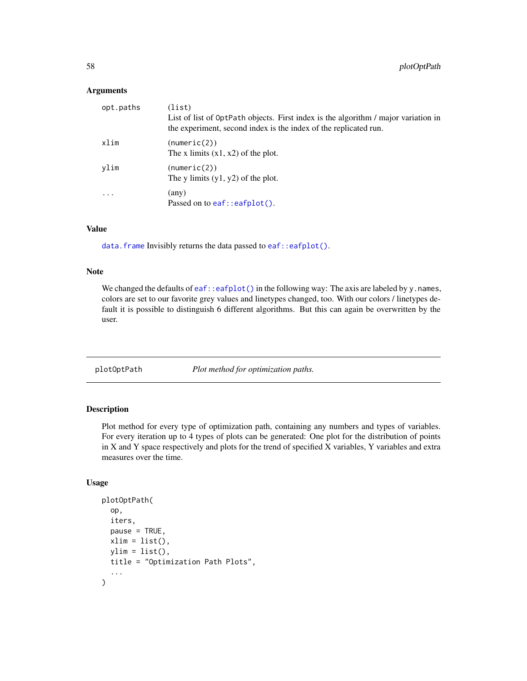#### <span id="page-57-1"></span>Arguments

| opt.paths | (list)<br>List of list of OptPath objects. First index is the algorithm / major variation in<br>the experiment, second index is the index of the replicated run. |
|-----------|------------------------------------------------------------------------------------------------------------------------------------------------------------------|
| xlim      | (numeric(2))<br>The x limits $(x1, x2)$ of the plot.                                                                                                             |
| vlim      | (numeric(2))<br>The y limits $(y1, y2)$ of the plot.                                                                                                             |
| .         | (any)<br>Passed on to $ear:earplot()$ .                                                                                                                          |

#### Value

[data.frame](#page-0-0) Invisibly returns the data passed to [eaf::eafplot\(\)](#page-0-0).

### Note

We changed the defaults of [eaf::eafplot\(\)](#page-0-0) in the following way: The axis are labeled by y.names, colors are set to our favorite grey values and linetypes changed, too. With our colors / linetypes default it is possible to distinguish 6 different algorithms. But this can again be overwritten by the user.

<span id="page-57-0"></span>plotOptPath *Plot method for optimization paths.*

# Description

Plot method for every type of optimization path, containing any numbers and types of variables. For every iteration up to 4 types of plots can be generated: One plot for the distribution of points in X and Y space respectively and plots for the trend of specified X variables, Y variables and extra measures over the time.

# Usage

```
plotOptPath(
  op,
  iters,
  pause = TRUE,
  xlim = list(),
  ylim = list(),
  title = "Optimization Path Plots",
  ...
\mathcal{L}
```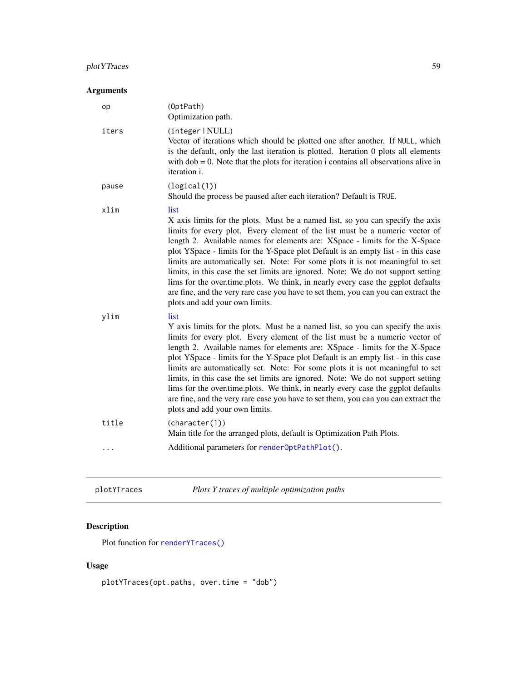# plotYTraces 59

# Arguments

| op    | (OptPath)<br>Optimization path.                                                                                                                                                                                                                                                                                                                                                                                                                                                                                                                                                                                                                                                                                              |
|-------|------------------------------------------------------------------------------------------------------------------------------------------------------------------------------------------------------------------------------------------------------------------------------------------------------------------------------------------------------------------------------------------------------------------------------------------------------------------------------------------------------------------------------------------------------------------------------------------------------------------------------------------------------------------------------------------------------------------------------|
| iters | (integer   NULL)<br>Vector of iterations which should be plotted one after another. If NULL, which<br>is the default, only the last iteration is plotted. Iteration 0 plots all elements<br>with $dob = 0$ . Note that the plots for iteration i contains all observations alive in<br>iteration i.                                                                                                                                                                                                                                                                                                                                                                                                                          |
| pause | (logical(1))<br>Should the process be paused after each iteration? Default is TRUE.                                                                                                                                                                                                                                                                                                                                                                                                                                                                                                                                                                                                                                          |
| xlim  | list<br>X axis limits for the plots. Must be a named list, so you can specify the axis<br>limits for every plot. Every element of the list must be a numeric vector of<br>length 2. Available names for elements are: XSpace - limits for the X-Space<br>plot YSpace - limits for the Y-Space plot Default is an empty list - in this case<br>limits are automatically set. Note: For some plots it is not meaningful to set<br>limits, in this case the set limits are ignored. Note: We do not support setting<br>lims for the over time plots. We think, in nearly every case the ggplot defaults<br>are fine, and the very rare case you have to set them, you can you can extract the<br>plots and add your own limits. |
| ylim  | list<br>Y axis limits for the plots. Must be a named list, so you can specify the axis<br>limits for every plot. Every element of the list must be a numeric vector of<br>length 2. Available names for elements are: XSpace - limits for the X-Space<br>plot YSpace - limits for the Y-Space plot Default is an empty list - in this case<br>limits are automatically set. Note: For some plots it is not meaningful to set<br>limits, in this case the set limits are ignored. Note: We do not support setting<br>lims for the over.time.plots. We think, in nearly every case the ggplot defaults<br>are fine, and the very rare case you have to set them, you can you can extract the<br>plots and add your own limits. |
| title | (character(1))<br>Main title for the arranged plots, default is Optimization Path Plots.                                                                                                                                                                                                                                                                                                                                                                                                                                                                                                                                                                                                                                     |
|       | Additional parameters for render0ptPathPlot().                                                                                                                                                                                                                                                                                                                                                                                                                                                                                                                                                                                                                                                                               |

| plotYTraces | Plots Y traces of multiple optimization paths |
|-------------|-----------------------------------------------|
|-------------|-----------------------------------------------|

# Description

Plot function for [renderYTraces\(\)](#page-63-0)

# Usage

plotYTraces(opt.paths, over.time = "dob")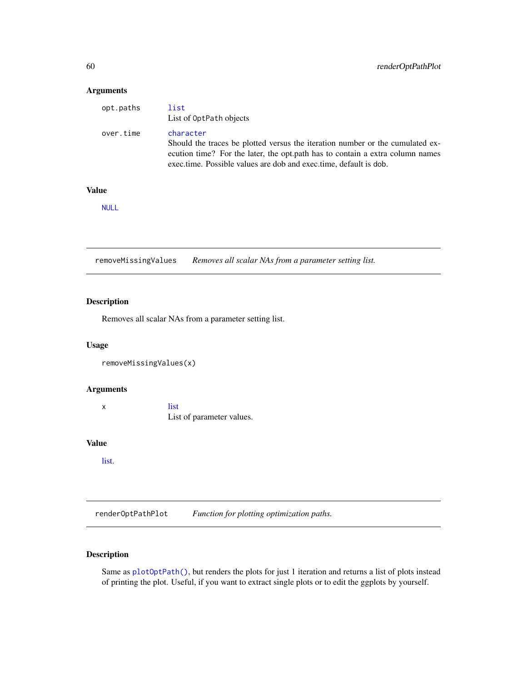### <span id="page-59-1"></span>Arguments

| opt.paths | list<br>List of OptPath objects                                                                                                                                                                                                                |
|-----------|------------------------------------------------------------------------------------------------------------------------------------------------------------------------------------------------------------------------------------------------|
| over.time | character<br>Should the traces be plotted versus the iteration number or the cumulated ex-<br>ecution time? For the later, the opt.path has to contain a extra column names<br>exectime. Possible values are dob and exectime, default is dob. |

# Value

[NULL](#page-0-0)

removeMissingValues *Removes all scalar NAs from a parameter setting list.*

#### Description

Removes all scalar NAs from a parameter setting list.

#### Usage

```
removeMissingValues(x)
```
#### Arguments

x [list](#page-0-0) List of parameter values.

# Value

```
list.
```
<span id="page-59-0"></span>renderOptPathPlot *Function for plotting optimization paths.*

# Description

Same as [plotOptPath\(\)](#page-57-0), but renders the plots for just 1 iteration and returns a list of plots instead of printing the plot. Useful, if you want to extract single plots or to edit the ggplots by yourself.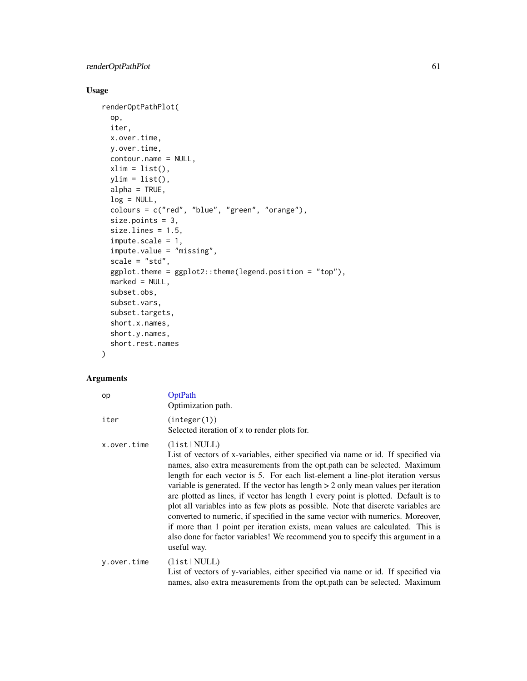# Usage

```
renderOptPathPlot(
  op,
  iter,
 x.over.time,
 y.over.time,
  contour.name = NULL,
 xlim = list(),ylim = list(),
 alpha = TRUE,log = NULL,colours = c("red", "blue", "green", "orange"),
  size.points = 3,
  size.lines = 1.5,
  impute.scale = 1,
  impute.value = "missing",
  scale = "std",ggplot. theme = ggplot2::theme(legend.position = "top"),
 market = NULL,subset.obs,
  subset.vars,
  subset.targets,
  short.x.names,
  short.y.names,
  short.rest.names
\mathcal{L}
```

| op          | OptPath<br>Optimization path.                                                                                                                                                                                                                                                                                                                                                                                                                                                                                                                                                                                                                                                                                                                                                                             |
|-------------|-----------------------------------------------------------------------------------------------------------------------------------------------------------------------------------------------------------------------------------------------------------------------------------------------------------------------------------------------------------------------------------------------------------------------------------------------------------------------------------------------------------------------------------------------------------------------------------------------------------------------------------------------------------------------------------------------------------------------------------------------------------------------------------------------------------|
| iter        | (integer(1))<br>Selected iteration of x to render plots for.                                                                                                                                                                                                                                                                                                                                                                                                                                                                                                                                                                                                                                                                                                                                              |
| x.over.time | (list NULL)<br>List of vectors of x-variables, either specified via name or id. If specified via<br>names, also extra measurements from the opt.path can be selected. Maximum<br>length for each vector is 5. For each list-element a line-plot iteration versus<br>variable is generated. If the vector has length $> 2$ only mean values per iteration<br>are plotted as lines, if vector has length 1 every point is plotted. Default is to<br>plot all variables into as few plots as possible. Note that discrete variables are<br>converted to numeric, if specified in the same vector with numerics. Moreover,<br>if more than 1 point per iteration exists, mean values are calculated. This is<br>also done for factor variables! We recommend you to specify this argument in a<br>useful way. |
| y.over.time | (list NULL)<br>List of vectors of y-variables, either specified via name or id. If specified via<br>names, also extra measurements from the opt.path can be selected. Maximum                                                                                                                                                                                                                                                                                                                                                                                                                                                                                                                                                                                                                             |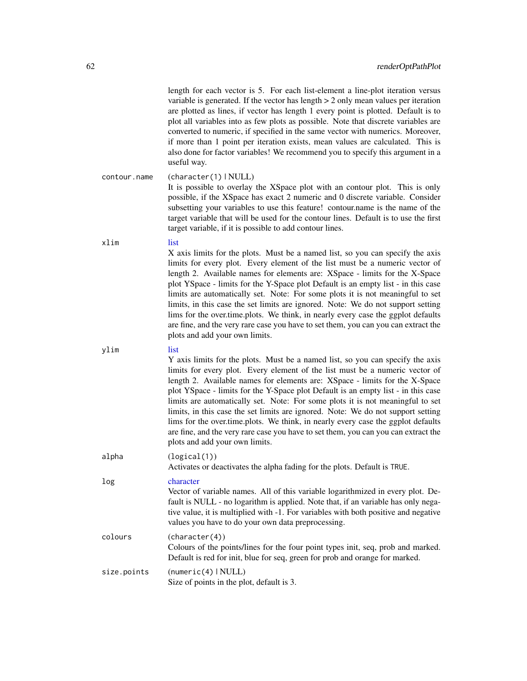<span id="page-61-0"></span>

| length for each vector is 5. For each list-element a line-plot iteration versus      |
|--------------------------------------------------------------------------------------|
| variable is generated. If the vector has length $> 2$ only mean values per iteration |
| are plotted as lines, if vector has length 1 every point is plotted. Default is to   |
| plot all variables into as few plots as possible. Note that discrete variables are   |
| converted to numeric, if specified in the same vector with numerics. Moreover,       |
| if more than 1 point per iteration exists, mean values are calculated. This is       |
| also done for factor variables! We recommend you to specify this argument in a       |
| useful way.                                                                          |
|                                                                                      |

contour.name (character(1) | NULL) It is possible to overlay the XSpace plot with an contour plot. This is only possible, if the XSpace has exact 2 numeric and 0 discrete variable. Consider subsetting your variables to use this feature! contour.name is the name of the target variable that will be used for the contour lines. Default is to use the first target variable, if it is possible to add contour lines.

xlim [list](#page-0-0) X axis limits for the plots. Must be a named list, so you can specify the axis limits for every plot. Every element of the list must be a numeric vector of length 2. Available names for elements are: XSpace - limits for the X-Space plot YSpace - limits for the Y-Space plot Default is an empty list - in this case limits are automatically set. Note: For some plots it is not meaningful to set limits, in this case the set limits are ignored. Note: We do not support setting lims for the over.time.plots. We think, in nearly every case the ggplot defaults are fine, and the very rare case you have to set them, you can you can extract the plots and add your own limits.

ylim [list](#page-0-0) Y axis limits for the plots. Must be a named list, so you can specify the axis limits for every plot. Every element of the list must be a numeric vector of length 2. Available names for elements are: XSpace - limits for the X-Space plot YSpace - limits for the Y-Space plot Default is an empty list - in this case limits are automatically set. Note: For some plots it is not meaningful to set limits, in this case the set limits are ignored. Note: We do not support setting lims for the over.time.plots. We think, in nearly every case the ggplot defaults are fine, and the very rare case you have to set them, you can you can extract the plots and add your own limits. alpha (logical(1)) Activates or deactivates the alpha fading for the plots. Default is TRUE. log [character](#page-0-0) Vector of variable names. All of this variable logarithmized in every plot. Default is NULL - no logarithm is applied. Note that, if an variable has only negative value, it is multiplied with -1. For variables with both positive and negative values you have to do your own data preprocessing.

colours (character(4)) Colours of the points/lines for the four point types init, seq, prob and marked. Default is red for init, blue for seq, green for prob and orange for marked. size.points (numeric(4) | NULL) Size of points in the plot, default is 3.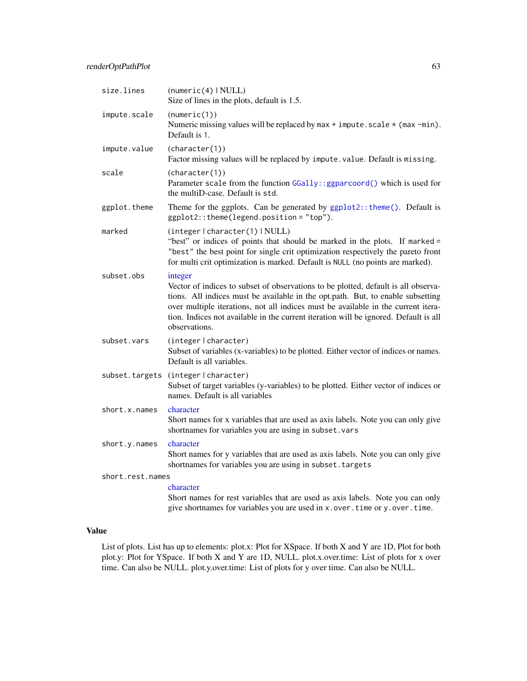| size.lines       | (numeric(4)   NULL)<br>Size of lines in the plots, default is 1.5.                                                                                                                                                                                                                                                                                                             |
|------------------|--------------------------------------------------------------------------------------------------------------------------------------------------------------------------------------------------------------------------------------------------------------------------------------------------------------------------------------------------------------------------------|
| impute.scale     | (numeric(1))<br>Numeric missing values will be replaced by max $+$ impute. scale $*$ (max $-min$ ).<br>Default is 1.                                                                                                                                                                                                                                                           |
| impute.value     | (character(1))<br>Factor missing values will be replaced by impute. value. Default is missing.                                                                                                                                                                                                                                                                                 |
| scale            | (character(1))<br>Parameter scale from the function GGally::ggparcoord() which is used for<br>the multiD-case. Default is std.                                                                                                                                                                                                                                                 |
| ggplot.theme     | Theme for the ggplots. Can be generated by ggplot2:: theme(). Default is<br>ggplot2:: theme(legend.position = "top").                                                                                                                                                                                                                                                          |
| marked           | (integer   character(1)   NULL)<br>"best" or indices of points that should be marked in the plots. If marked =<br>"best" the best point for single crit optimization respectively the pareto front<br>for multi crit optimization is marked. Default is NULL (no points are marked).                                                                                           |
| subset.obs       | integer<br>Vector of indices to subset of observations to be plotted, default is all observa-<br>tions. All indices must be available in the opt.path. But, to enable subsetting<br>over multiple iterations, not all indices must be available in the current itera-<br>tion. Indices not available in the current iteration will be ignored. Default is all<br>observations. |
| subset.vars      | (integer   character)<br>Subset of variables (x-variables) to be plotted. Either vector of indices or names.<br>Default is all variables.                                                                                                                                                                                                                                      |
|                  | subset.targets (integer   character)<br>Subset of target variables (y-variables) to be plotted. Either vector of indices or<br>names. Default is all variables                                                                                                                                                                                                                 |
| short.x.names    | character<br>Short names for x variables that are used as axis labels. Note you can only give<br>shortnames for variables you are using in subset. vars                                                                                                                                                                                                                        |
| short.y.names    | character<br>Short names for y variables that are used as axis labels. Note you can only give<br>shortnames for variables you are using in subset. targets                                                                                                                                                                                                                     |
| short.rest.names |                                                                                                                                                                                                                                                                                                                                                                                |
|                  | character<br>Short names for rest variables that are used as axis labels. Note you can only<br>give shortnames for variables you are used in x. over. time or y. over. time.                                                                                                                                                                                                   |

#### Value

List of plots. List has up to elements: plot.x: Plot for XSpace. If both X and Y are 1D, Plot for both plot.y: Plot for YSpace. If both X and Y are 1D, NULL. plot.x.over.time: List of plots for x over time. Can also be NULL. plot.y.over.time: List of plots for y over time. Can also be NULL.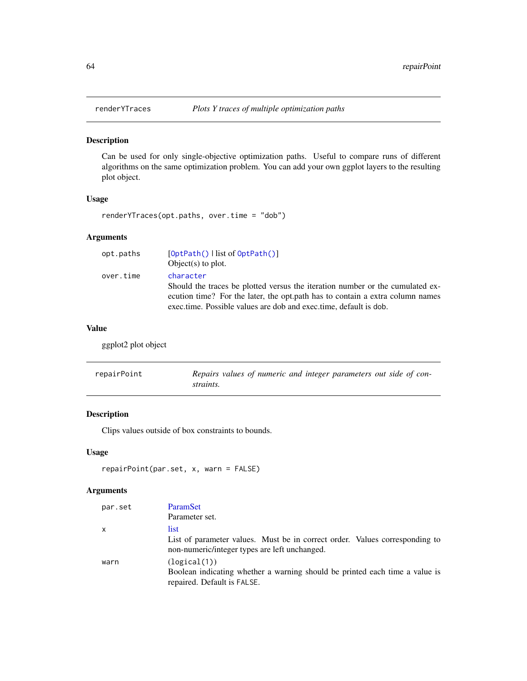<span id="page-63-1"></span><span id="page-63-0"></span>

# Description

Can be used for only single-objective optimization paths. Useful to compare runs of different algorithms on the same optimization problem. You can add your own ggplot layers to the resulting plot object.

# Usage

renderYTraces(opt.paths, over.time = "dob")

# Arguments

| opt.paths | $[OptPath()$ l list of $OptPath()$                                            |
|-----------|-------------------------------------------------------------------------------|
|           | $Object(s)$ to plot.                                                          |
| over.time | character                                                                     |
|           | Should the traces be plotted versus the iteration number or the cumulated ex- |
|           | ecution time? For the later, the opt.path has to contain a extra column names |
|           | exectime. Possible values are dob and exectime, default is dob.               |

#### Value

ggplot2 plot object

| repairPoint | Repairs values of numeric and integer parameters out side of con- |
|-------------|-------------------------------------------------------------------|
|             | straints.                                                         |

# Description

Clips values outside of box constraints to bounds.

# Usage

```
repairPoint(par.set, x, warn = FALSE)
```

| par.set      | ParamSet                                                                                                                     |  |
|--------------|------------------------------------------------------------------------------------------------------------------------------|--|
|              | Parameter set.                                                                                                               |  |
| $\mathsf{x}$ | list.                                                                                                                        |  |
|              | List of parameter values. Must be in correct order. Values corresponding to<br>non-numeric/integer types are left unchanged. |  |
| warn         | (logical(1))<br>Boolean indicating whether a warning should be printed each time a value is<br>repaired. Default is FALSE.   |  |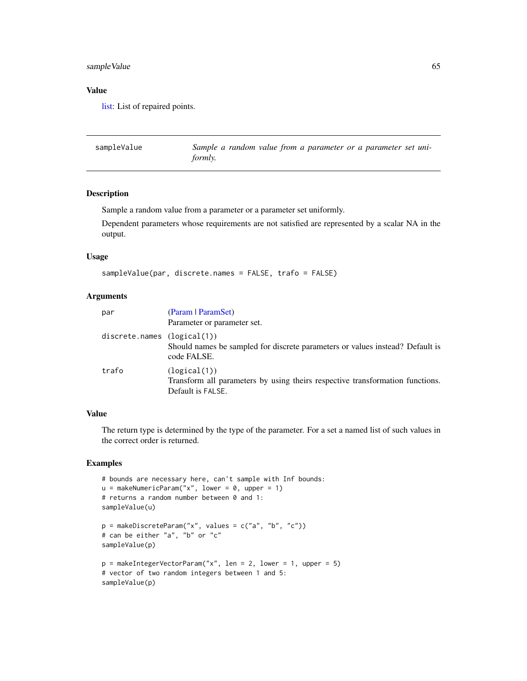# sample Value 65

#### Value

[list:](#page-0-0) List of repaired points.

sampleValue *Sample a random value from a parameter or a parameter set uniformly.*

# Description

Sample a random value from a parameter or a parameter set uniformly.

Dependent parameters whose requirements are not satisfied are represented by a scalar NA in the output.

#### Usage

```
sampleValue(par, discrete.names = FALSE, trafo = FALSE)
```
#### Arguments

| par                         | (Param   ParamSet)<br>Parameter or parameter set.                                                                  |
|-----------------------------|--------------------------------------------------------------------------------------------------------------------|
| discrete.names (logical(1)) | Should names be sampled for discrete parameters or values instead? Default is<br>code FALSE.                       |
| trafo                       | (logical(1))<br>Transform all parameters by using theirs respective transformation functions.<br>Default is FALSE. |

# Value

The return type is determined by the type of the parameter. For a set a named list of such values in the correct order is returned.

# Examples

```
# bounds are necessary here, can't sample with Inf bounds:
u = makeNumericParam("x", lower = 0, upper = 1)
# returns a random number between 0 and 1:
sampleValue(u)
p = makeDiscreteParam("x", values = c("a", "b", "c"))
# can be either "a", "b" or "c"
sampleValue(p)
p = makeIntegerVectorParam("x", len = 2, lower = 1, upper = 5)
# vector of two random integers between 1 and 5:
sampleValue(p)
```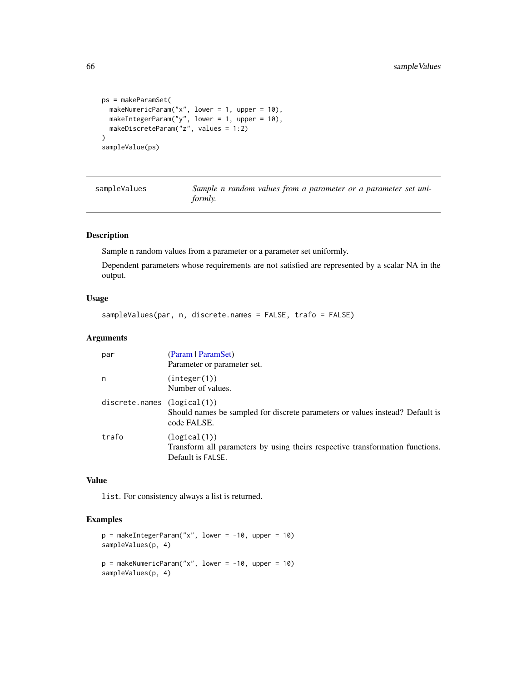```
ps = makeParamSet(
 makeNumericParam("x", lower = 1, upper = 10),
 makeIntegerParam("y", lower = 1, upper = 10),
 makeDiscreteParam("z", values = 1:2)
\mathcal{L}sampleValue(ps)
```

| sampleValues | Sample n random values from a parameter or a parameter set uni- |
|--------------|-----------------------------------------------------------------|
|              | formly.                                                         |

# Description

Sample n random values from a parameter or a parameter set uniformly.

Dependent parameters whose requirements are not satisfied are represented by a scalar NA in the output.

# Usage

```
sampleValues(par, n, discrete.names = FALSE, trafo = FALSE)
```
# Arguments

| par                         | (Param   ParamSet)<br>Parameter or parameter set.                                                                  |
|-----------------------------|--------------------------------------------------------------------------------------------------------------------|
| n                           | (integer(1))<br>Number of values.                                                                                  |
| discrete.names (logical(1)) | Should names be sampled for discrete parameters or values instead? Default is<br>code FALSE.                       |
| trafo                       | (logical(1))<br>Transform all parameters by using theirs respective transformation functions.<br>Default is FALSE. |

#### Value

list. For consistency always a list is returned.

# Examples

```
p = makeIntegerParam("x", lower = -10, upper = 10)sampleValues(p, 4)
p = makeNumericParam("x", lower = -10, upper = 10)
sampleValues(p, 4)
```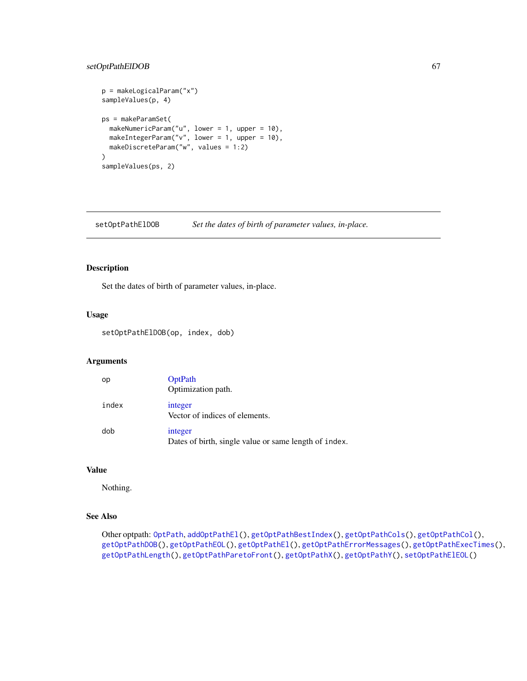# <span id="page-66-1"></span>setOptPathElDOB 67

```
p = makeLogicalParam("x")
sampleValues(p, 4)
ps = makeParamSet(
 makeNumericParam("u", lower = 1, upper = 10),
 makeIntegerParam("v", lower = 1, upper = 10),
 makeDiscreteParam("w", values = 1:2)
\mathcal{L}sampleValues(ps, 2)
```
<span id="page-66-0"></span>setOptPathElDOB *Set the dates of birth of parameter values, in-place.*

#### Description

Set the dates of birth of parameter values, in-place.

# Usage

setOptPathElDOB(op, index, dob)

# Arguments

| op    | <b>OptPath</b><br>Optimization path.                             |
|-------|------------------------------------------------------------------|
| index | integer<br>Vector of indices of elements.                        |
| dob   | integer<br>Dates of birth, single value or same length of index. |

# Value

Nothing.

# See Also

Other optpath: [OptPath](#page-49-0), [addOptPathEl\(](#page-2-0)), [getOptPathBestIndex\(](#page-20-0)), [getOptPathCols\(](#page-22-0)), [getOptPathCol\(](#page-21-0)), [getOptPathDOB\(](#page-23-1)), [getOptPathEOL\(](#page-24-0)), [getOptPathEl\(](#page-23-0)), [getOptPathErrorMessages\(](#page-25-0)), [getOptPathExecTimes\(](#page-26-0)), [getOptPathLength\(](#page-26-1)), [getOptPathParetoFront\(](#page-27-0)), [getOptPathX\(](#page-28-0)), [getOptPathY\(](#page-29-0)), [setOptPathElEOL\(](#page-67-0))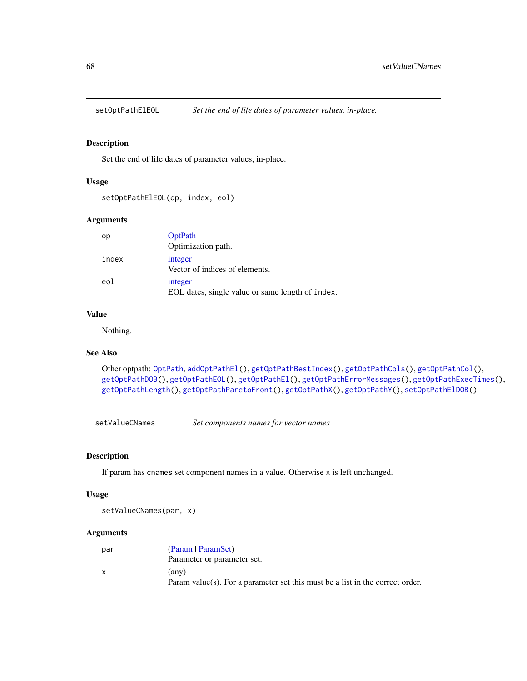<span id="page-67-1"></span><span id="page-67-0"></span>

### Description

Set the end of life dates of parameter values, in-place.

#### Usage

```
setOptPathElEOL(op, index, eol)
```
#### Arguments

| op    | OptPath<br>Optimization path.                               |
|-------|-------------------------------------------------------------|
| index | integer<br>Vector of indices of elements.                   |
| eol   | integer<br>EOL dates, single value or same length of index. |

# Value

Nothing.

# See Also

```
Other optpath: OptPath, addOptPathEl(), getOptPathBestIndex(), getOptPathCols(), getOptPathCol(),
getOptPathDOB(), getOptPathEOL(), getOptPathEl(), getOptPathErrorMessages(), getOptPathExecTimes(),
getOptPathLength(), getOptPathParetoFront(), getOptPathX(), getOptPathY(), setOptPathElDOB()
```
setValueCNames *Set components names for vector names*

#### Description

If param has cnames set component names in a value. Otherwise x is left unchanged.

### Usage

setValueCNames(par, x)

| par | (Param   ParamSet)                                                            |
|-----|-------------------------------------------------------------------------------|
|     | Parameter or parameter set.                                                   |
|     | (any)                                                                         |
|     | Param value(s). For a parameter set this must be a list in the correct order. |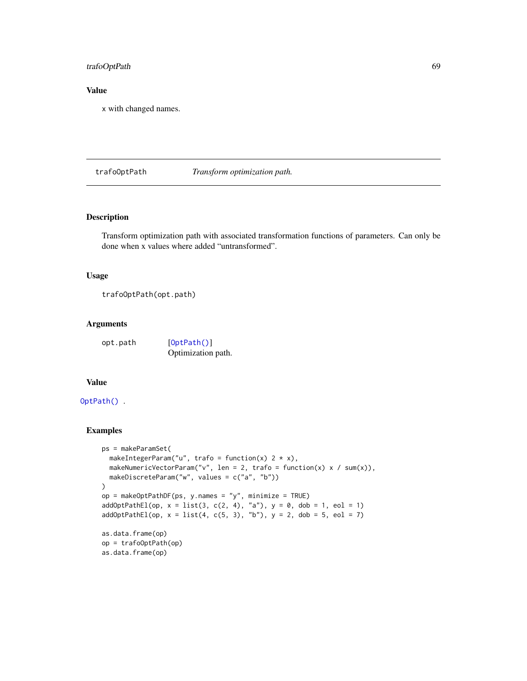# trafoOptPath 69

# Value

x with changed names.

<span id="page-68-0"></span>trafoOptPath *Transform optimization path.*

# Description

Transform optimization path with associated transformation functions of parameters. Can only be done when x values where added "untransformed".

### Usage

trafoOptPath(opt.path)

#### Arguments

| opt.path | [0ptPath()]        |
|----------|--------------------|
|          | Optimization path. |

# Value

# [OptPath\(\)](#page-49-0) .

# Examples

```
ps = makeParamSet(
  makeIntegerParam("u", trafo = function(x) 2 * x),
  makeNumericVectorParam("v", len = 2, trafo = function(x) x / sum(x)),
  makeDiscreteParam("w", values = c("a", "b"))
)
op = makeOptPathDF(ps, y.names = "y", minimize = TRUE)
addOptPathEl(op, x = list(3, c(2, 4), "a"), y = 0, dob = 1, eol = 1)addOptPathEl(op, x = list(4, c(5, 3), "b"), y = 2, dob = 5, eol = 7)as.data.frame(op)
op = trafoOptPath(op)
as.data.frame(op)
```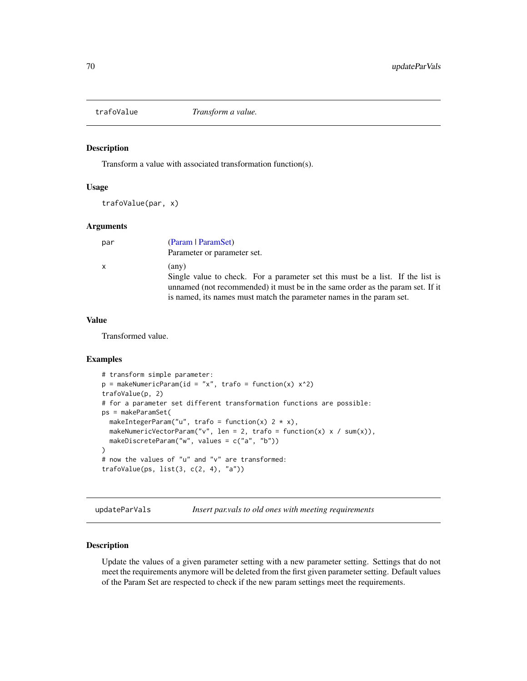#### Description

Transform a value with associated transformation function(s).

#### Usage

```
trafoValue(par, x)
```
# Arguments

| par | (Param   ParamSet)<br>Parameter or parameter set.                                                                                                                                                                                                 |
|-----|---------------------------------------------------------------------------------------------------------------------------------------------------------------------------------------------------------------------------------------------------|
| x   | (any)<br>Single value to check. For a parameter set this must be a list. If the list is<br>unnamed (not recommended) it must be in the same order as the param set. If it<br>is named, its names must match the parameter names in the parameter. |

#### Value

Transformed value.

# Examples

```
# transform simple parameter:
p = makeNumericParam(id = "x", trafo = function(x) x^2)
trafoValue(p, 2)
# for a parameter set different transformation functions are possible:
ps = makeParamSet(
 makeIntegerParam("u", trafo = function(x) 2 * x),
 makeNumericVectorParam("v", len = 2, trafo = function(x) x / sum(x)),
 makeDiscreteParam("w", values = c("a", "b"))
)
# now the values of "u" and "v" are transformed:
trafoValue(ps, list(3, c(2, 4), "a"))
```
updateParVals *Insert par.vals to old ones with meeting requirements*

#### Description

Update the values of a given parameter setting with a new parameter setting. Settings that do not meet the requirements anymore will be deleted from the first given parameter setting. Default values of the Param Set are respected to check if the new param settings meet the requirements.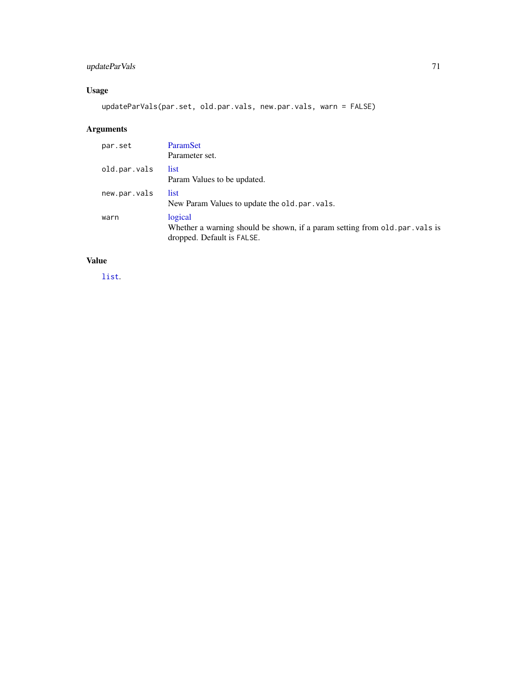# updateParVals 71

# Usage

updateParVals(par.set, old.par.vals, new.par.vals, warn = FALSE)

# Arguments

| par.set      | <b>ParamSet</b><br>Parameter set.                                                                                    |
|--------------|----------------------------------------------------------------------------------------------------------------------|
| old.par.vals | list<br>Param Values to be updated.                                                                                  |
| new.par.vals | list.<br>New Param Values to update the old.par.vals.                                                                |
| warn         | logical<br>Whether a warning should be shown, if a param setting from old. par vals is<br>dropped. Default is FALSE. |

# Value

[list](#page-0-0).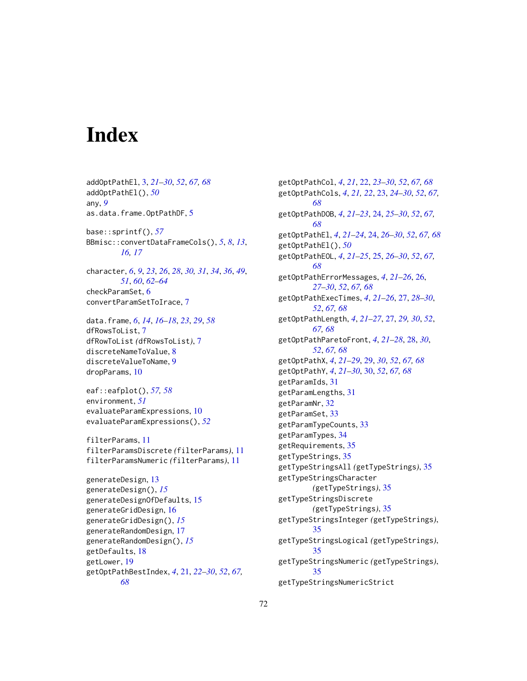# **Index**

addOptPathEl, [3,](#page-2-1) *[21](#page-20-1)[–30](#page-29-1)*, *[52](#page-51-1)*, *[67,](#page-66-1) [68](#page-67-1)* addOptPathEl(), *[50](#page-49-1)* any, *[9](#page-8-0)* as.data.frame.OptPathDF, [5](#page-4-0) base::sprintf(), *[57](#page-56-0)* BBmisc::convertDataFrameCols(), *[5](#page-4-0)*, *[8](#page-7-0)*, *[13](#page-12-0)*, *[16,](#page-15-0) [17](#page-16-0)* character, *[6](#page-5-0)*, *[9](#page-8-0)*, *[23](#page-22-1)*, *[26](#page-25-1)*, *[28](#page-27-1)*, *[30,](#page-29-1) [31](#page-30-0)*, *[34](#page-33-0)*, *[36](#page-35-0)*, *[49](#page-48-1)*, *[51](#page-50-0)*, *[60](#page-59-1)*, *[62](#page-61-0)[–64](#page-63-1)* checkParamSet, [6](#page-5-0) convertParamSetToIrace, [7](#page-6-0) data.frame, *[6](#page-5-0)*, *[14](#page-13-0)*, *[16](#page-15-0)[–18](#page-17-0)*, *[23](#page-22-1)*, *[29](#page-28-1)*, *[58](#page-57-1)* dfRowsToList, [7](#page-6-0) dfRowToList *(*dfRowsToList*)*, [7](#page-6-0)

discreteNameToValue, [8](#page-7-0) discreteValueToName, [9](#page-8-0) dropParams, [10](#page-9-1)

eaf::eafplot(), *[57,](#page-56-0) [58](#page-57-1)* environment, *[51](#page-50-0)* evaluateParamExpressions, [10](#page-9-1) evaluateParamExpressions(), *[52](#page-51-1)*

filterParams, [11](#page-10-0) filterParamsDiscrete *(*filterParams*)*, [11](#page-10-0) filterParamsNumeric *(*filterParams*)*, [11](#page-10-0)

```
generateDesign, 13
generateDesign(), 15
generateDesignOfDefaults, 15
generateGridDesign, 16
generateGridDesign(), 15
generateRandomDesign, 17
generateRandomDesign(), 15
getDefaults, 18
getLower, 19
getOptPathBestIndex, 4, 21, 22–30, 52, 67,
        68
```
getOptPathCol, *[4](#page-3-0)*, *[21](#page-20-1)*, [22,](#page-21-1) *[23](#page-22-1)[–30](#page-29-1)*, *[52](#page-51-1)*, *[67,](#page-66-1) [68](#page-67-1)* getOptPathCols, *[4](#page-3-0)*, *[21,](#page-20-1) [22](#page-21-1)*, [23,](#page-22-1) *[24](#page-23-2)[–30](#page-29-1)*, *[52](#page-51-1)*, *[67,](#page-66-1) [68](#page-67-1)* getOptPathDOB, *[4](#page-3-0)*, *[21](#page-20-1)[–23](#page-22-1)*, [24,](#page-23-2) *[25](#page-24-1)[–30](#page-29-1)*, *[52](#page-51-1)*, *[67,](#page-66-1) [68](#page-67-1)* getOptPathEl, *[4](#page-3-0)*, *[21](#page-20-1)[–24](#page-23-2)*, [24,](#page-23-2) *[26–](#page-25-1)[30](#page-29-1)*, *[52](#page-51-1)*, *[67,](#page-66-1) [68](#page-67-1)* getOptPathEl(), *[50](#page-49-1)* getOptPathEOL, *[4](#page-3-0)*, *[21](#page-20-1)[–25](#page-24-1)*, [25,](#page-24-1) *[26](#page-25-1)[–30](#page-29-1)*, *[52](#page-51-1)*, *[67,](#page-66-1) [68](#page-67-1)* getOptPathErrorMessages, *[4](#page-3-0)*, *[21](#page-20-1)[–26](#page-25-1)*, [26,](#page-25-1) *[27](#page-26-2)[–30](#page-29-1)*, *[52](#page-51-1)*, *[67,](#page-66-1) [68](#page-67-1)* getOptPathExecTimes, *[4](#page-3-0)*, *[21](#page-20-1)[–26](#page-25-1)*, [27,](#page-26-2) *[28](#page-27-1)[–30](#page-29-1)*, *[52](#page-51-1)*, *[67,](#page-66-1) [68](#page-67-1)* getOptPathLength, *[4](#page-3-0)*, *[21](#page-20-1)[–27](#page-26-2)*, [27,](#page-26-2) *[29,](#page-28-1) [30](#page-29-1)*, *[52](#page-51-1)*, *[67,](#page-66-1) [68](#page-67-1)* getOptPathParetoFront, *[4](#page-3-0)*, *[21](#page-20-1)[–28](#page-27-1)*, [28,](#page-27-1) *[30](#page-29-1)*, *[52](#page-51-1)*, *[67,](#page-66-1) [68](#page-67-1)* getOptPathX, *[4](#page-3-0)*, *[21](#page-20-1)[–29](#page-28-1)*, [29,](#page-28-1) *[30](#page-29-1)*, *[52](#page-51-1)*, *[67,](#page-66-1) [68](#page-67-1)* getOptPathY, *[4](#page-3-0)*, *[21](#page-20-1)[–30](#page-29-1)*, [30,](#page-29-1) *[52](#page-51-1)*, *[67,](#page-66-1) [68](#page-67-1)* getParamIds, [31](#page-30-0) getParamLengths, [31](#page-30-0) getParamNr, [32](#page-31-0) getParamSet, [33](#page-32-0) getParamTypeCounts, [33](#page-32-0) getParamTypes, [34](#page-33-0) getRequirements, [35](#page-34-0) getTypeStrings, [35](#page-34-0) getTypeStringsAll *(*getTypeStrings*)*, [35](#page-34-0) getTypeStringsCharacter *(*getTypeStrings*)*, [35](#page-34-0) getTypeStringsDiscrete *(*getTypeStrings*)*, [35](#page-34-0) getTypeStringsInteger *(*getTypeStrings*)*, [35](#page-34-0) getTypeStringsLogical *(*getTypeStrings*)*, [35](#page-34-0) getTypeStringsNumeric *(*getTypeStrings*)*, [35](#page-34-0) getTypeStringsNumericStrict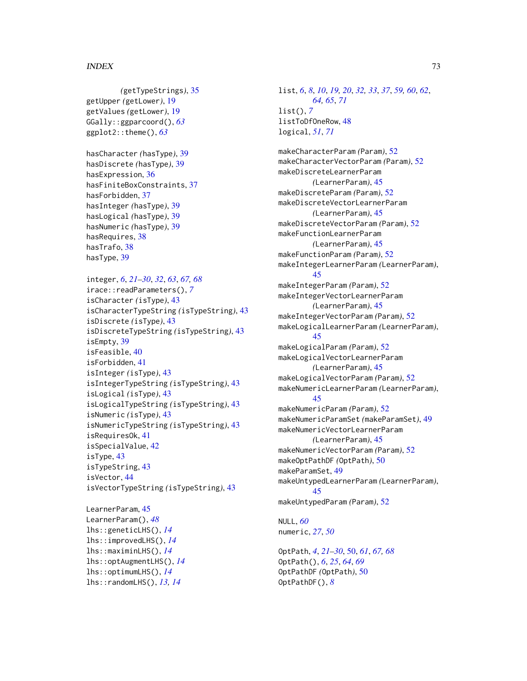## $I<sub>N</sub>$   $I<sub>3</sub>$   $I<sub>3</sub>$   $I<sub>4</sub>$   $I<sub>5</sub>$   $I<sub>6</sub>$   $I<sub>7</sub>$   $I<sub>8</sub>$   $I<sub>9</sub>$   $I<sub>9</sub>$   $I<sub>9</sub>$   $I<sub>9</sub>$   $I<sub>9</sub>$   $I<sub>9</sub>$   $I<sub>9</sub>$   $I<sub>9</sub>$   $I<sub>9</sub>$   $I<sub>9</sub>$   $I<sub>9</sub>$   $I<sub>9</sub>$   $I$

```
(getTypeStrings), 35
getUpper (getLower), 19
getValues (getLower), 19
GGally::ggparcoord(), 63
ggplot2::theme(), 63
hasCharacter (hasType), 39
hasDiscrete (hasType), 39
hasExpression, 36
hasFiniteBoxConstraints, 37
hasForbidden, 37
hasInteger (hasType), 39
hasLogical (hasType), 39
hasNumeric (hasType), 39
hasRequires, 38
hasTrafo, 38
hasType, 39
integer, 6, 21–30, 32, 63, 67, 68
irace::readParameters(), 7
isCharacter (isType), 43
isCharacterTypeString (isTypeString), 43
isDiscrete (isType), 43
isDiscreteTypeString (isTypeString), 43
isEmpty, 39
isFeasible, 40
isForbidden, 41
isInteger (isType), 43
isIntegerTypeString (isTypeString), 43
isLogical (isType), 43
isLogicalTypeString (isTypeString), 43
isNumeric (isType), 43
isNumericTypeString (isTypeString), 43
isRequiresOk, 41
isSpecialValue, 42
isType, 43
isTypeString, 43
isVector, 44
isVectorTypeString (isTypeString), 43
```

```
LearnerParam, 45
LearnerParam(), 48
lhs::geneticLHS(), 14
lhs::improvedLHS(), 14
lhs::maximinLHS(), 14
lhs::optAugmentLHS(), 14
lhs::optimumLHS(), 14
lhs::randomLHS(), 13, 14
```
list, *[6](#page-5-0)*, *[8](#page-7-0)*, *[10](#page-9-0)*, *[19,](#page-18-0) [20](#page-19-0)*, *[32,](#page-31-0) [33](#page-32-0)*, *[37](#page-36-0)*, *[59,](#page-58-0) [60](#page-59-0)*, *[62](#page-61-0)*, *[64,](#page-63-0) [65](#page-64-0)*, *[71](#page-70-0)* list(), *[7](#page-6-0)* listToDfOneRow, [48](#page-47-0) logical, *[51](#page-50-0)*, *[71](#page-70-0)*

makeCharacterParam *(*Param*)*, [52](#page-51-0) makeCharacterVectorParam *(*Param*)*, [52](#page-51-0) makeDiscreteLearnerParam *(*LearnerParam*)*, [45](#page-44-0) makeDiscreteParam *(*Param*)*, [52](#page-51-0) makeDiscreteVectorLearnerParam *(*LearnerParam*)*, [45](#page-44-0) makeDiscreteVectorParam *(*Param*)*, [52](#page-51-0) makeFunctionLearnerParam *(*LearnerParam*)*, [45](#page-44-0) makeFunctionParam *(*Param*)*, [52](#page-51-0) makeIntegerLearnerParam *(*LearnerParam*)*, [45](#page-44-0) makeIntegerParam *(*Param*)*, [52](#page-51-0) makeIntegerVectorLearnerParam *(*LearnerParam*)*, [45](#page-44-0) makeIntegerVectorParam *(*Param*)*, [52](#page-51-0) makeLogicalLearnerParam *(*LearnerParam*)*, [45](#page-44-0) makeLogicalParam *(*Param*)*, [52](#page-51-0) makeLogicalVectorLearnerParam *(*LearnerParam*)*, [45](#page-44-0) makeLogicalVectorParam *(*Param*)*, [52](#page-51-0) makeNumericLearnerParam *(*LearnerParam*)*, [45](#page-44-0) makeNumericParam *(*Param*)*, [52](#page-51-0) makeNumericParamSet *(*makeParamSet*)*, [49](#page-48-0) makeNumericVectorLearnerParam *(*LearnerParam*)*, [45](#page-44-0) makeNumericVectorParam *(*Param*)*, [52](#page-51-0) makeOptPathDF *(*OptPath*)*, [50](#page-49-0) makeParamSet, [49](#page-48-0) makeUntypedLearnerParam *(*LearnerParam*)*, [45](#page-44-0) makeUntypedParam *(*Param*)*, [52](#page-51-0)

NULL, *[60](#page-59-0)* numeric, *[27](#page-26-0)*, *[50](#page-49-0)*

OptPath, *[4](#page-3-0)*, *[21](#page-20-0)[–30](#page-29-0)*, [50,](#page-49-0) *[61](#page-60-0)*, *[67,](#page-66-0) [68](#page-67-0)* OptPath(), *[6](#page-5-0)*, *[25](#page-24-0)*, *[64](#page-63-0)*, *[69](#page-68-0)* OptPathDF *(*OptPath*)*, [50](#page-49-0) OptPathDF(), *[8](#page-7-0)*